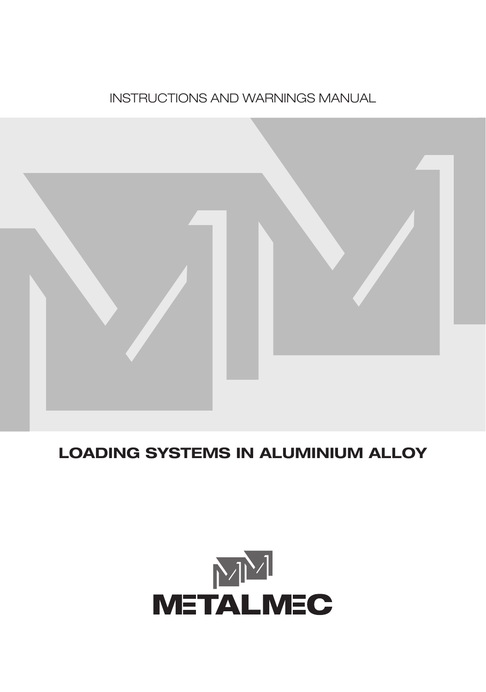



## **LOADING SYSTEMS IN ALUMINIUM ALLOY**

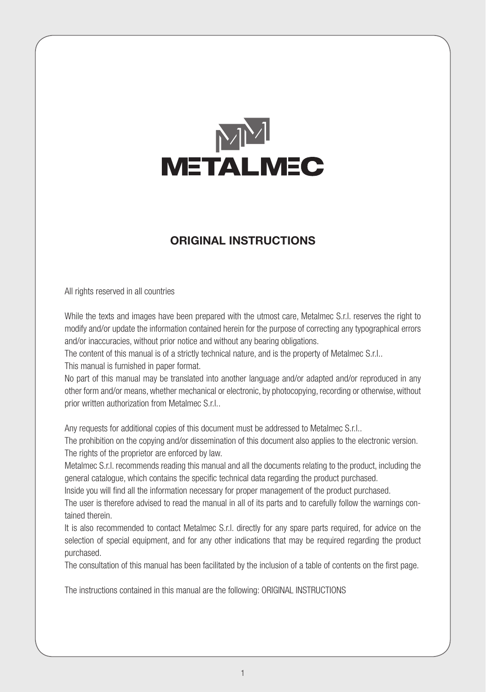

### **ORIGINAL INSTRUCTIONS**

All rights reserved in all countries

While the texts and images have been prepared with the utmost care, Metalmec S.r.l. reserves the right to modify and/or update the information contained herein for the purpose of correcting any typographical errors and/or inaccuracies, without prior notice and without any bearing obligations.

The content of this manual is of a strictly technical nature, and is the property of Metalmec S.r.l..

This manual is furnished in paper format.

No part of this manual may be translated into another language and/or adapted and/or reproduced in any other form and/or means, whether mechanical or electronic, by photocopying, recording or otherwise, without prior written authorization from Metalmec S.r.l..

Any requests for additional copies of this document must be addressed to Metalmec S.r.l..

The prohibition on the copying and/or dissemination of this document also applies to the electronic version. The rights of the proprietor are enforced by law.

Metalmec S.r.l. recommends reading this manual and all the documents relating to the product, including the general catalogue, which contains the specific technical data regarding the product purchased.

Inside you will find all the information necessary for proper management of the product purchased.

The user is therefore advised to read the manual in all of its parts and to carefully follow the warnings contained therein.

It is also recommended to contact Metalmec S.r.l. directly for any spare parts required, for advice on the selection of special equipment, and for any other indications that may be required regarding the product purchased.

The consultation of this manual has been facilitated by the inclusion of a table of contents on the first page.

The instructions contained in this manual are the following: ORIGINAL INSTRUCTIONS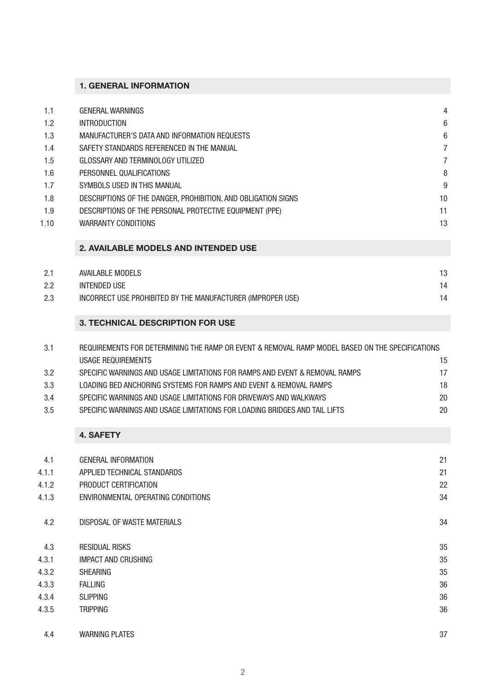### **1. GENERAL INFORMATION**

| 1.1  | <b>GENERAL WARNINGS</b>                                       | 4  |
|------|---------------------------------------------------------------|----|
| 1.2  | <b>INTRODUCTION</b>                                           | 6  |
| 1.3  | MANUFACTURER'S DATA AND INFORMATION REQUESTS                  | 6  |
| 1.4  | SAFETY STANDARDS REFERENCED IN THE MANUAL                     |    |
| 1.5  | GLOSSARY AND TERMINOLOGY UTILIZED                             |    |
| 1.6  | PERSONNEL QUALIFICATIONS                                      | 8  |
| 1.7  | SYMBOLS USED IN THIS MANUAL                                   | 9  |
| 1.8  | DESCRIPTIONS OF THE DANGER. PROHIBITION, AND OBLIGATION SIGNS | 10 |
| 1.9  | DESCRIPTIONS OF THE PERSONAL PROTECTIVE EQUIPMENT (PPE)       | 11 |
| 1.10 | <b>WARRANTY CONDITIONS</b>                                    | 13 |
|      |                                                               |    |

### **2. AVAILABLE MODELS AND INTENDED USE**

| 2.1 | AVAILABLE MODELS                                            | 13 |
|-----|-------------------------------------------------------------|----|
| 2.2 | INTENDED USE                                                | 14 |
| 2.3 | INCORRECT USE PROHIBITED BY THE MANUFACTURER (IMPROPER USE) | 14 |

### **3. TECHNICAL DESCRIPTION FOR USE**

| 3.1 | REQUIREMENTS FOR DETERMINING THE RAMP OR EVENT & REMOVAL RAMP MODEL BASED ON THE SPECIFICATIONS |    |
|-----|-------------------------------------------------------------------------------------------------|----|
|     | USAGE REQUIREMENTS                                                                              | 15 |
| 3.2 | SPECIFIC WARNINGS AND USAGE LIMITATIONS FOR RAMPS AND EVENT & REMOVAL RAMPS                     | 17 |
| 3.3 | LOADING BED ANCHORING SYSTEMS FOR RAMPS AND EVENT & REMOVAL RAMPS                               | 18 |
| 3.4 | SPECIFIC WARNINGS AND USAGE LIMITATIONS FOR DRIVEWAYS AND WALKWAYS                              | 20 |
| 3.5 | SPECIFIC WARNINGS AND USAGE LIMITATIONS FOR LOADING BRIDGES AND TAIL LIFTS                      | 20 |
|     |                                                                                                 |    |

### **4. SAFETY**

| 4.1   | <b>GENERAL INFORMATION</b>         | 21 |
|-------|------------------------------------|----|
| 4.1.1 | APPLIED TECHNICAL STANDARDS        | 21 |
| 4.1.2 | PRODUCT CERTIFICATION              | 22 |
| 4.1.3 | ENVIRONMENTAL OPERATING CONDITIONS | 34 |
| 4.2   | DISPOSAL OF WASTE MATERIALS        | 34 |
| 4.3   | <b>RESIDUAL RISKS</b>              | 35 |
| 4.3.1 | <b>IMPACT AND CRUSHING</b>         | 35 |
| 4.3.2 | <b>SHEARING</b>                    | 35 |
| 4.3.3 | <b>FALLING</b>                     | 36 |
| 4.3.4 | <b>SLIPPING</b>                    | 36 |
| 4.3.5 | <b>TRIPPING</b>                    | 36 |
| 4.4   | <b>WARNING PLATES</b>              | 37 |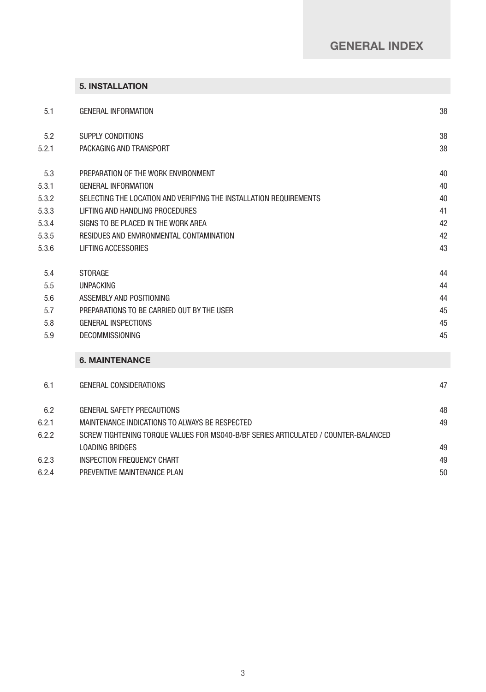### **GENERAL INDEX**

|  |  | <b>5. INSTALLATION</b> |
|--|--|------------------------|
|--|--|------------------------|

| 5.1   | <b>GENERAL INFORMATION</b>                                         | 38 |
|-------|--------------------------------------------------------------------|----|
| 5.2   | SUPPLY CONDITIONS                                                  | 38 |
| 5.2.1 | PACKAGING AND TRANSPORT                                            | 38 |
| 5.3   | PREPARATION OF THE WORK ENVIRONMENT                                | 40 |
| 5.3.1 | <b>GENERAL INFORMATION</b>                                         | 40 |
| 5.3.2 | SELECTING THE LOCATION AND VERIFYING THE INSTALLATION REQUIREMENTS | 40 |
| 5.3.3 | LIFTING AND HANDLING PROCEDURES                                    | 41 |
| 5.3.4 | SIGNS TO BE PLACED IN THE WORK AREA                                | 42 |
| 5.3.5 | RESIDUES AND ENVIRONMENTAL CONTAMINATION                           | 42 |
| 5.3.6 | LIFTING ACCESSORIES                                                | 43 |
| 5.4   | <b>STORAGE</b>                                                     | 44 |
| 5.5   | <b>UNPACKING</b>                                                   | 44 |
| 5.6   | ASSEMBLY AND POSITIONING                                           | 44 |
| 5.7   | PREPARATIONS TO BE CARRIED OUT BY THE USER                         | 45 |
| 5.8   | <b>GENERAL INSPECTIONS</b>                                         | 45 |
| 5.9   | <b>DECOMMISSIONING</b>                                             | 45 |
|       |                                                                    |    |

### **6. MAINTENANCE**

| 6.1   | GENERAL CONSIDERATIONS                                                              | 47 |
|-------|-------------------------------------------------------------------------------------|----|
| 6.2   | <b>GENERAL SAFETY PRECAUTIONS</b>                                                   | 48 |
| 6.2.1 | MAINTENANCE INDICATIONS TO ALWAYS BE RESPECTED                                      | 49 |
| 6.2.2 | SCREW TIGHTENING TORQUE VALUES FOR MS040-B/BF SERIES ARTICULATED / COUNTER-BALANCED |    |
|       | LOADING BRIDGES                                                                     | 49 |
| 6.2.3 | INSPECTION FREQUENCY CHART                                                          | 49 |
| 6.2.4 | PREVENTIVE MAINTENANCE PLAN                                                         | 50 |
|       |                                                                                     |    |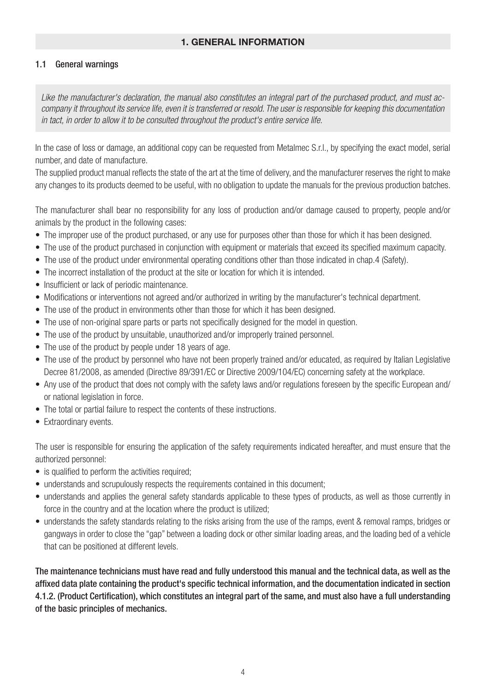### **1. GENERAL INFORMATION**

### 1.1 General warnings

*Like the manufacturer's declaration, the manual also constitutes an integral part of the purchased product, and must accompany it throughout its service life, even it is transferred or resold. The user is responsible for keeping this documentation in tact, in order to allow it to be consulted throughout the product's entire service life.*

In the case of loss or damage, an additional copy can be requested from Metalmec S.r.l., by specifying the exact model, serial number, and date of manufacture.

The supplied product manual reflects the state of the art at the time of delivery, and the manufacturer reserves the right to make any changes to its products deemed to be useful, with no obligation to update the manuals for the previous production batches.

The manufacturer shall bear no responsibility for any loss of production and/or damage caused to property, people and/or animals by the product in the following cases:

- The improper use of the product purchased, or any use for purposes other than those for which it has been designed.
- The use of the product purchased in conjunction with equipment or materials that exceed its specified maximum capacity.
- The use of the product under environmental operating conditions other than those indicated in chap.4 (Safety).
- The incorrect installation of the product at the site or location for which it is intended.
- Insufficient or lack of periodic maintenance.
- Modifications or interventions not agreed and/or authorized in writing by the manufacturer's technical department.
- The use of the product in environments other than those for which it has been designed.
- The use of non-original spare parts or parts not specifically designed for the model in question.
- The use of the product by unsuitable, unauthorized and/or improperly trained personnel.
- The use of the product by people under 18 years of age.
- The use of the product by personnel who have not been properly trained and/or educated, as required by Italian Legislative Decree 81/2008, as amended (Directive 89/391/EC or Directive 2009/104/EC) concerning safety at the workplace.
- Any use of the product that does not comply with the safety laws and/or regulations foreseen by the specific European and/ or national legislation in force.
- The total or partial failure to respect the contents of these instructions.
- Extraordinary events.

The user is responsible for ensuring the application of the safety requirements indicated hereafter, and must ensure that the authorized personnel:

- is qualified to perform the activities required;
- understands and scrupulously respects the requirements contained in this document;
- understands and applies the general safety standards applicable to these types of products, as well as those currently in force in the country and at the location where the product is utilized;
- understands the safety standards relating to the risks arising from the use of the ramps, event & removal ramps, bridges or gangways in order to close the "gap" between a loading dock or other similar loading areas, and the loading bed of a vehicle that can be positioned at different levels.

The maintenance technicians must have read and fully understood this manual and the technical data, as well as the affixed data plate containing the product's specific technical information, and the documentation indicated in section 4.1.2. (Product Certification), which constitutes an integral part of the same, and must also have a full understanding of the basic principles of mechanics.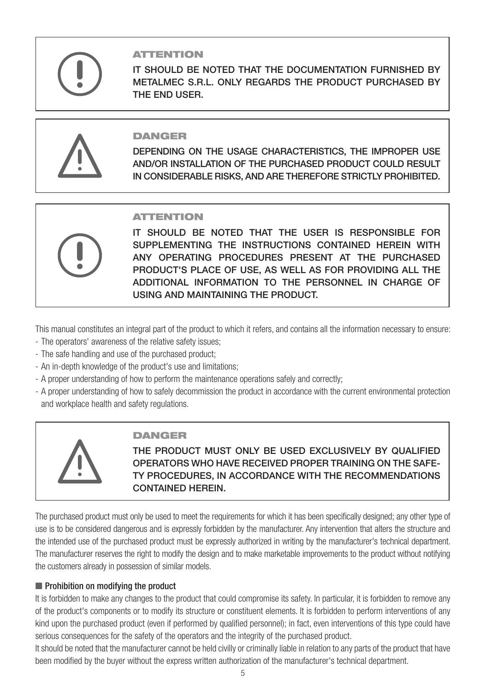

### ATTENTION

IT SHOULD BE NOTED THAT THE DOCUMENTATION FURNISHED BY METALMEC S.R.L. ONLY REGARDS THE PRODUCT PURCHASED BY THE END USER.



### **DANGER**

DEPENDING ON THE USAGE CHARACTERISTICS, THE IMPROPER USE AND/OR INSTALLATION OF THE PURCHASED PRODUCT COULD RESULT IN CONSIDERABLE RISKS, AND ARE THEREFORE STRICTLY PROHIBITED.



### **ATTENTION**

IT SHOULD BE NOTED THAT THE USER IS RESPONSIBLE FOR SUPPLEMENTING THE INSTRUCTIONS CONTAINED HEREIN WITH ANY OPERATING PROCEDURES PRESENT AT THE PURCHASED PRODUCT'S PLACE OF USE, AS WELL AS FOR PROVIDING ALL THE ADDITIONAL INFORMATION TO THE PERSONNEL IN CHARGE OF USING AND MAINTAINING THE PRODUCT.

This manual constitutes an integral part of the product to which it refers, and contains all the information necessary to ensure:

- The operators' awareness of the relative safety issues;
- The safe handling and use of the purchased product;
- An in-depth knowledge of the product's use and limitations;
- A proper understanding of how to perform the maintenance operations safely and correctly;
- A proper understanding of how to safely decommission the product in accordance with the current environmental protection and workplace health and safety regulations.



### DANGER

THE PRODUCT MUST ONLY BE USED EXCLUSIVELY BY QUALIFIED OPERATORS WHO HAVE RECEIVED PROPER TRAINING ON THE SAFE-TY PROCEDURES, IN ACCORDANCE WITH THE RECOMMENDATIONS CONTAINED HEREIN.

The purchased product must only be used to meet the requirements for which it has been specifically designed; any other type of use is to be considered dangerous and is expressly forbidden by the manufacturer. Any intervention that alters the structure and the intended use of the purchased product must be expressly authorized in writing by the manufacturer's technical department. The manufacturer reserves the right to modify the design and to make marketable improvements to the product without notifying the customers already in possession of similar models.

### ■ Prohibition on modifying the product

It is forbidden to make any changes to the product that could compromise its safety. In particular, it is forbidden to remove any of the product's components or to modify its structure or constituent elements. It is forbidden to perform interventions of any kind upon the purchased product (even if performed by qualified personnel); in fact, even interventions of this type could have serious consequences for the safety of the operators and the integrity of the purchased product.

It should be noted that the manufacturer cannot be held civilly or criminally liable in relation to any parts of the product that have been modified by the buyer without the express written authorization of the manufacturer's technical department.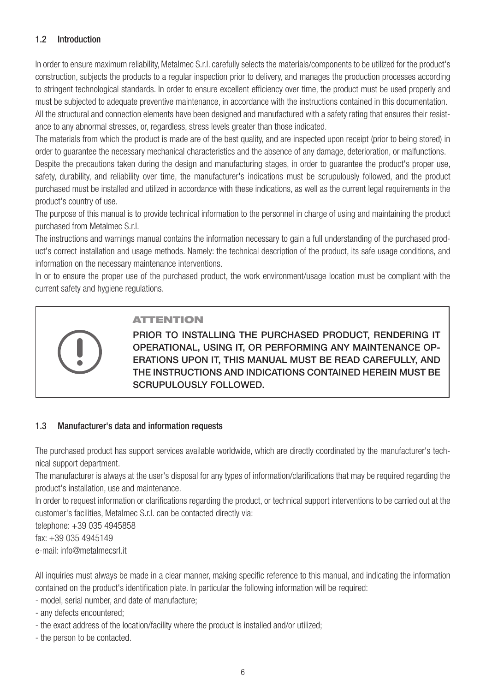### 1.2 Introduction

In order to ensure maximum reliability, Metalmec S.r.l. carefully selects the materials/components to be utilized for the product's construction, subjects the products to a regular inspection prior to delivery, and manages the production processes according to stringent technological standards. In order to ensure excellent efficiency over time, the product must be used properly and must be subjected to adequate preventive maintenance, in accordance with the instructions contained in this documentation. All the structural and connection elements have been designed and manufactured with a safety rating that ensures their resistance to any abnormal stresses, or, regardless, stress levels greater than those indicated.

The materials from which the product is made are of the best quality, and are inspected upon receipt (prior to being stored) in order to guarantee the necessary mechanical characteristics and the absence of any damage, deterioration, or malfunctions.

Despite the precautions taken during the design and manufacturing stages, in order to guarantee the product's proper use, safety, durability, and reliability over time, the manufacturer's indications must be scrupulously followed, and the product purchased must be installed and utilized in accordance with these indications, as well as the current legal requirements in the product's country of use.

The purpose of this manual is to provide technical information to the personnel in charge of using and maintaining the product purchased from Metalmec S.r.l.

The instructions and warnings manual contains the information necessary to gain a full understanding of the purchased product's correct installation and usage methods. Namely: the technical description of the product, its safe usage conditions, and information on the necessary maintenance interventions.

In or to ensure the proper use of the purchased product, the work environment/usage location must be compliant with the current safety and hygiene regulations.



### ATTENTION

PRIOR TO INSTALLING THE PURCHASED PRODUCT, RENDERING IT OPERATIONAL, USING IT, OR PERFORMING ANY MAINTENANCE OP-ERATIONS UPON IT, THIS MANUAL MUST BE READ CAREFULLY, AND THE INSTRUCTIONS AND INDICATIONS CONTAINED HEREIN MUST BE SCRUPULOUSLY FOLLOWED.

### 1.3 Manufacturer's data and information requests

The purchased product has support services available worldwide, which are directly coordinated by the manufacturer's technical support department.

The manufacturer is always at the user's disposal for any types of information/clarifications that may be required regarding the product's installation, use and maintenance.

In order to request information or clarifications regarding the product, or technical support interventions to be carried out at the customer's facilities, Metalmec S.r.l. can be contacted directly via:

telephone: +39 035 4945858

fax: +39 035 4945149

e-mail: info@metalmecsrl.it

All inquiries must always be made in a clear manner, making specific reference to this manual, and indicating the information contained on the product's identification plate. In particular the following information will be required:

- model, serial number, and date of manufacture;
- any defects encountered;
- the exact address of the location/facility where the product is installed and/or utilized;
- the person to be contacted.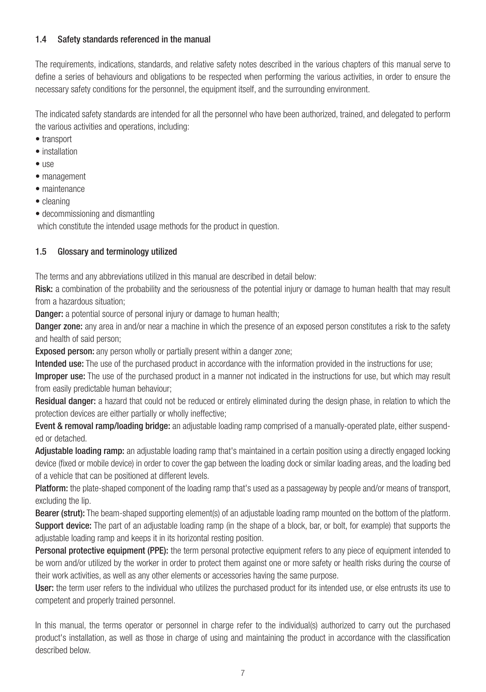### 1.4 Safety standards referenced in the manual

The requirements, indications, standards, and relative safety notes described in the various chapters of this manual serve to define a series of behaviours and obligations to be respected when performing the various activities, in order to ensure the necessary safety conditions for the personnel, the equipment itself, and the surrounding environment.

The indicated safety standards are intended for all the personnel who have been authorized, trained, and delegated to perform the various activities and operations, including:

- transport
- installation
- $\bullet$  use
- management
- maintenance
- cleaning
- decommissioning and dismantling

which constitute the intended usage methods for the product in question.

### 1.5 Glossary and terminology utilized

The terms and any abbreviations utilized in this manual are described in detail below:

Risk: a combination of the probability and the seriousness of the potential injury or damage to human health that may result from a hazardous situation;

**Danger:** a potential source of personal injury or damage to human health;

Danger zone: any area in and/or near a machine in which the presence of an exposed person constitutes a risk to the safety and health of said person;

Exposed person: any person wholly or partially present within a danger zone;

Intended use: The use of the purchased product in accordance with the information provided in the instructions for use:

Improper use: The use of the purchased product in a manner not indicated in the instructions for use, but which may result from easily predictable human behaviour;

Residual danger: a hazard that could not be reduced or entirely eliminated during the design phase, in relation to which the protection devices are either partially or wholly ineffective;

Event & removal ramp/loading bridge: an adjustable loading ramp comprised of a manually-operated plate, either suspended or detached.

Adjustable loading ramp: an adjustable loading ramp that's maintained in a certain position using a directly engaged locking device (fixed or mobile device) in order to cover the gap between the loading dock or similar loading areas, and the loading bed of a vehicle that can be positioned at different levels.

Platform: the plate-shaped component of the loading ramp that's used as a passageway by people and/or means of transport, excluding the lip.

Bearer (strut): The beam-shaped supporting element(s) of an adjustable loading ramp mounted on the bottom of the platform. Support device: The part of an adjustable loading ramp (in the shape of a block, bar, or bolt, for example) that supports the adjustable loading ramp and keeps it in its horizontal resting position.

**Personal protective equipment (PPE):** the term personal protective equipment refers to any piece of equipment intended to be worn and/or utilized by the worker in order to protect them against one or more safety or health risks during the course of their work activities, as well as any other elements or accessories having the same purpose.

User: the term user refers to the individual who utilizes the purchased product for its intended use, or else entrusts its use to competent and properly trained personnel.

In this manual, the terms operator or personnel in charge refer to the individual(s) authorized to carry out the purchased product's installation, as well as those in charge of using and maintaining the product in accordance with the classification described below.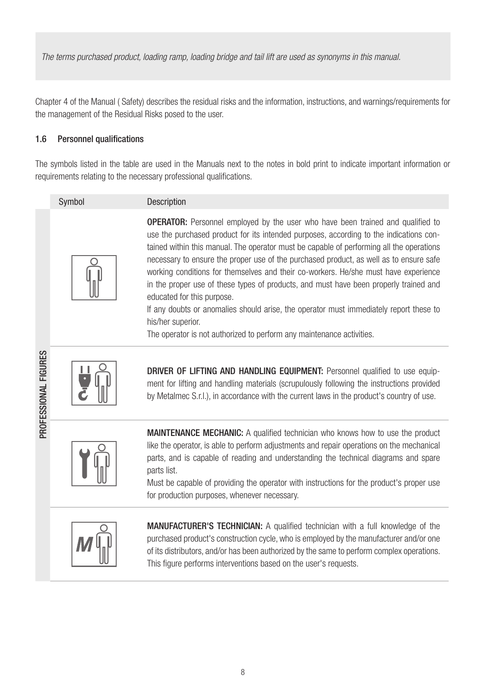*The terms purchased product, loading ramp, loading bridge and tail lift are used as synonyms in this manual.*

Chapter 4 of the Manual ( Safety) describes the residual risks and the information, instructions, and warnings/requirements for the management of the Residual Risks posed to the user.

### 1.6 Personnel qualifications

The symbols listed in the table are used in the Manuals next to the notes in bold print to indicate important information or requirements relating to the necessary professional qualifications.

| Symbol | Description                                                                                                                                                                                                                                                                                                                                                                                                                                                                                                                                                                                                                                                                                         |
|--------|-----------------------------------------------------------------------------------------------------------------------------------------------------------------------------------------------------------------------------------------------------------------------------------------------------------------------------------------------------------------------------------------------------------------------------------------------------------------------------------------------------------------------------------------------------------------------------------------------------------------------------------------------------------------------------------------------------|
|        | <b>OPERATOR:</b> Personnel employed by the user who have been trained and qualified to<br>use the purchased product for its intended purposes, according to the indications con-<br>tained within this manual. The operator must be capable of performing all the operations<br>necessary to ensure the proper use of the purchased product, as well as to ensure safe<br>working conditions for themselves and their co-workers. He/she must have experience<br>in the proper use of these types of products, and must have been properly trained and<br>educated for this purpose.<br>If any doubts or anomalies should arise, the operator must immediately report these to<br>his/her superior. |

The operator is not authorized to perform any maintenance activities.



PROFESSIONAL FIGURES

PROFESSIONAL FIGURES

DRIVER OF LIFTING AND HANDLING EQUIPMENT: Personnel qualified to use equipment for lifting and handling materials (scrupulously following the instructions provided by Metalmec S.r.l.), in accordance with the current laws in the product's country of use.



**MAINTENANCE MECHANIC:** A qualified technician who knows how to use the product like the operator, is able to perform adjustments and repair operations on the mechanical parts, and is capable of reading and understanding the technical diagrams and spare parts list.

Must be capable of providing the operator with instructions for the product's proper use for production purposes, whenever necessary.



MANUFACTURER'S TECHNICIAN: A qualified technician with a full knowledge of the purchased product's construction cycle, who is employed by the manufacturer and/or one of its distributors, and/or has been authorized by the same to perform complex operations. This figure performs interventions based on the user's requests.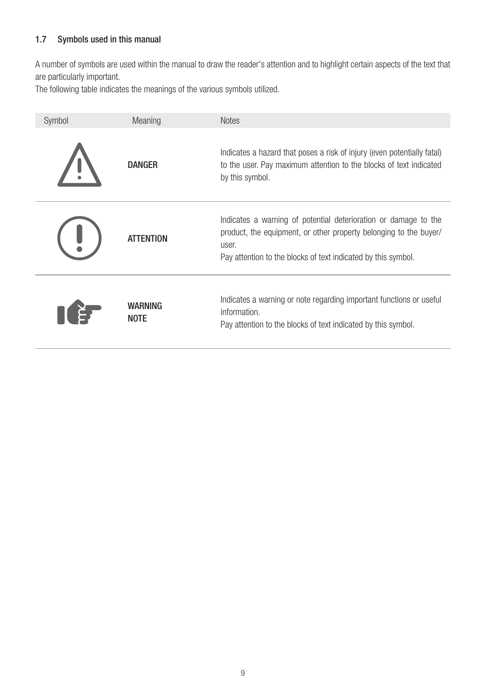### 1.7 Symbols used in this manual

A number of symbols are used within the manual to draw the reader's attention and to highlight certain aspects of the text that are particularly important.

The following table indicates the meanings of the various symbols utilized.

| Symbol | Meaning                | <b>Notes</b>                                                                                                                                                                                                   |
|--------|------------------------|----------------------------------------------------------------------------------------------------------------------------------------------------------------------------------------------------------------|
|        | DANGER                 | Indicates a hazard that poses a risk of injury (even potentially fatal)<br>to the user. Pay maximum attention to the blocks of text indicated<br>by this symbol.                                               |
|        | <b>ATTENTION</b>       | Indicates a warning of potential deterioration or damage to the<br>product, the equipment, or other property belonging to the buyer/<br>user.<br>Pay attention to the blocks of text indicated by this symbol. |
|        | WARNING<br><b>NOTE</b> | Indicates a warning or note regarding important functions or useful<br>information.<br>Pay attention to the blocks of text indicated by this symbol.                                                           |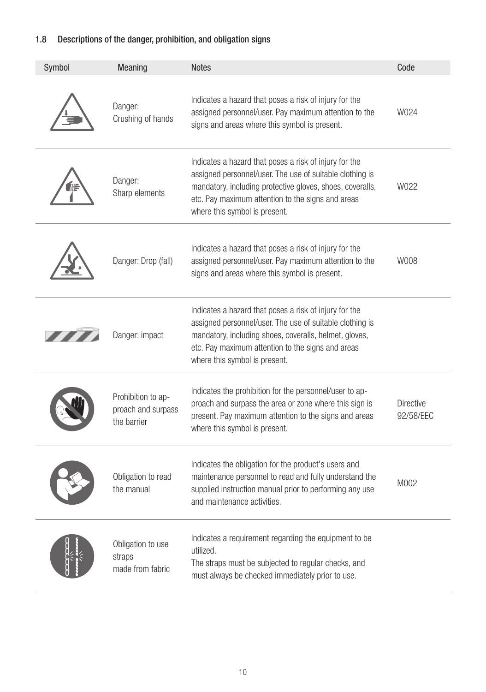### 1.8 Descriptions of the danger, prohibition, and obligation signs

| Symbol | Meaning                                                 | <b>Notes</b>                                                                                                                                                                                                                                                          | Code                          |
|--------|---------------------------------------------------------|-----------------------------------------------------------------------------------------------------------------------------------------------------------------------------------------------------------------------------------------------------------------------|-------------------------------|
|        | Danger:<br>Crushing of hands                            | Indicates a hazard that poses a risk of injury for the<br>assigned personnel/user. Pay maximum attention to the<br>signs and areas where this symbol is present.                                                                                                      | W024                          |
|        | Danger:<br>Sharp elements                               | Indicates a hazard that poses a risk of injury for the<br>assigned personnel/user. The use of suitable clothing is<br>mandatory, including protective gloves, shoes, coveralls,<br>etc. Pay maximum attention to the signs and areas<br>where this symbol is present. | W022                          |
|        | Danger: Drop (fall)                                     | Indicates a hazard that poses a risk of injury for the<br>assigned personnel/user. Pay maximum attention to the<br>signs and areas where this symbol is present.                                                                                                      | W008                          |
|        | Danger: impact                                          | Indicates a hazard that poses a risk of injury for the<br>assigned personnel/user. The use of suitable clothing is<br>mandatory, including shoes, coveralls, helmet, gloves,<br>etc. Pay maximum attention to the signs and areas<br>where this symbol is present.    |                               |
|        | Prohibition to ap-<br>proach and surpass<br>the barrier | Indicates the prohibition for the personnel/user to ap-<br>proach and surpass the area or zone where this sign is<br>present. Pay maximum attention to the signs and areas<br>where this symbol is present.                                                           | <b>Directive</b><br>92/58/EEC |
|        | Obligation to read<br>the manual                        | Indicates the obligation for the product's users and<br>maintenance personnel to read and fully understand the<br>supplied instruction manual prior to performing any use<br>and maintenance activities.                                                              | M002                          |
|        | Obligation to use<br>straps<br>made from fabric         | Indicates a requirement regarding the equipment to be<br>utilized.<br>The straps must be subjected to regular checks, and<br>must always be checked immediately prior to use.                                                                                         |                               |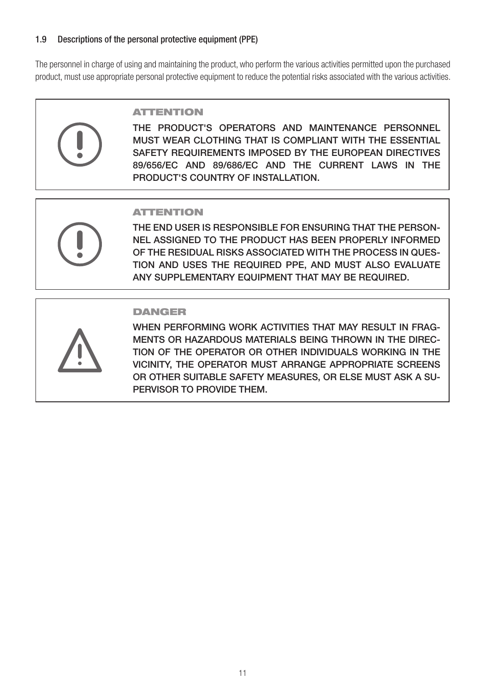### 1.9 Descriptions of the personal protective equipment (PPE)

The personnel in charge of using and maintaining the product, who perform the various activities permitted upon the purchased product, must use appropriate personal protective equipment to reduce the potential risks associated with the various activities.



### ATTENTION

THE PRODUCT'S OPERATORS AND MAINTENANCE PERSONNEL MUST WEAR CLOTHING THAT IS COMPLIANT WITH THE ESSENTIAL SAFETY REQUIREMENTS IMPOSED BY THE EUROPEAN DIRECTIVES 89/656/EC AND 89/686/EC AND THE CURRENT LAWS IN THE PRODUCT'S COUNTRY OF INSTALLATION.

### **ATTENTION**

THE END USER IS RESPONSIBLE FOR ENSURING THAT THE PERSON-NEL ASSIGNED TO THE PRODUCT HAS BEEN PROPERLY INFORMED OF THE RESIDUAL RISKS ASSOCIATED WITH THE PROCESS IN QUES-TION AND USES THE REQUIRED PPE, AND MUST ALSO EVALUATE ANY SUPPLEMENTARY EQUIPMENT THAT MAY BE REQUIRED.

### DANGER



WHEN PERFORMING WORK ACTIVITIES THAT MAY RESULT IN FRAG-MENTS OR HAZARDOUS MATERIALS BEING THROWN IN THE DIREC-TION OF THE OPERATOR OR OTHER INDIVIDUALS WORKING IN THE VICINITY, THE OPERATOR MUST ARRANGE APPROPRIATE SCREENS OR OTHER SUITABLE SAFETY MEASURES, OR ELSE MUST ASK A SU-PERVISOR TO PROVIDE THEM.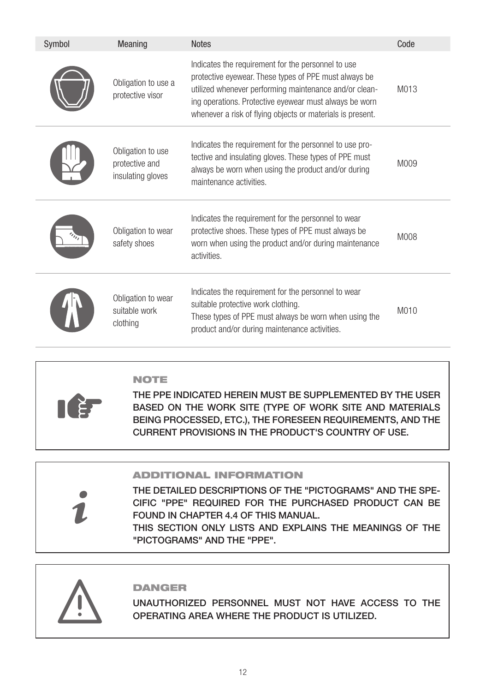| Symbol | Meaning                                                  | <b>Notes</b>                                                                                                                                                                                                                                                                                  | Code |
|--------|----------------------------------------------------------|-----------------------------------------------------------------------------------------------------------------------------------------------------------------------------------------------------------------------------------------------------------------------------------------------|------|
|        | Obligation to use a<br>protective visor                  | Indicates the requirement for the personnel to use<br>protective eyewear. These types of PPE must always be<br>utilized whenever performing maintenance and/or clean-<br>ing operations. Protective eyewear must always be worn<br>whenever a risk of flying objects or materials is present. | M013 |
|        | Obligation to use<br>protective and<br>insulating gloves | Indicates the requirement for the personnel to use pro-<br>tective and insulating gloves. These types of PPE must<br>always be worn when using the product and/or during<br>maintenance activities.                                                                                           | M009 |
|        | Obligation to wear<br>safety shoes                       | Indicates the requirement for the personnel to wear<br>protective shoes. These types of PPE must always be<br>worn when using the product and/or during maintenance<br>activities.                                                                                                            | M008 |
|        | Obligation to wear<br>suitable work<br>clothing          | Indicates the requirement for the personnel to wear<br>suitable protective work clothing.<br>These types of PPE must always be worn when using the<br>product and/or during maintenance activities.                                                                                           | M010 |

### NOTE

THE PPE INDICATED HEREIN MUST BE SUPPLEMENTED BY THE USER BASED ON THE WORK SITE (TYPE OF WORK SITE AND MATERIALS BEING PROCESSED, ETC.), THE FORESEEN REQUIREMENTS, AND THE CURRENT PROVISIONS IN THE PRODUCT'S COUNTRY OF USE.

### ADDITIONAL INFORMATION

THE DETAILED DESCRIPTIONS OF THE "PICTOGRAMS" AND THE SPE-CIFIC "PPE" REQUIRED FOR THE PURCHASED PRODUCT CAN BE FOUND IN CHAPTER 4.4 OF THIS MANUAL.

THIS SECTION ONLY LISTS AND EXPLAINS THE MEANINGS OF THE "PICTOGRAMS" AND THE "PPE".



### DANGER

UNAUTHORIZED PERSONNEL MUST NOT HAVE ACCESS TO THE OPERATING AREA WHERE THE PRODUCT IS UTILIZED.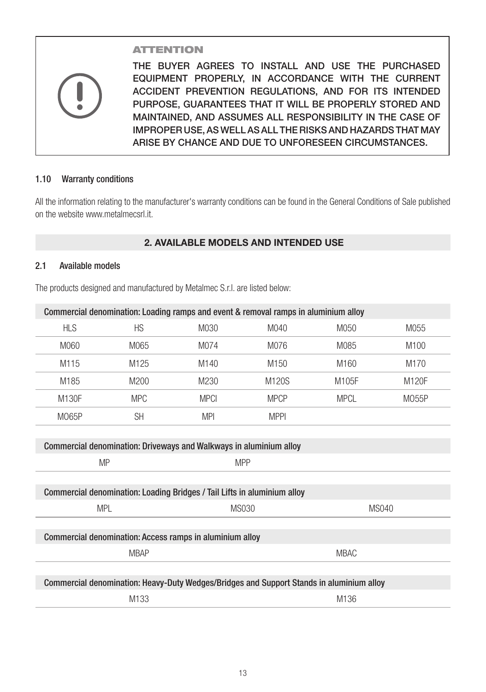### ATTENTION

THE BUYER AGREES TO INSTALL AND USE THE PURCHASED EQUIPMENT PROPERLY, IN ACCORDANCE WITH THE CURRENT ACCIDENT PREVENTION REGULATIONS, AND FOR ITS INTENDED PURPOSE, GUARANTEES THAT IT WILL BE PROPERLY STORED AND MAINTAINED, AND ASSUMES ALL RESPONSIBILITY IN THE CASE OF IMPROPER USE, AS WELL AS ALL THE RISKS AND HAZARDS THAT MAY ARISE BY CHANCE AND DUE TO UNFORESEEN CIRCUMSTANCES.

### 1.10 Warranty conditions

All the information relating to the manufacturer's warranty conditions can be found in the General Conditions of Sale published on the website www.metalmecsrl.it.

### **2. AVAILABLE MODELS AND INTENDED USE**

### 2.1 Available models

The products designed and manufactured by Metalmec S.r.l. are listed below:

| Commercial denomination: Loading ramps and event & removal ramps in aluminium alloy |                         |                  |                  |             |                  |  |  |
|-------------------------------------------------------------------------------------|-------------------------|------------------|------------------|-------------|------------------|--|--|
| <b>HLS</b>                                                                          | <b>HS</b>               | M030             | M040             | M050        | M055             |  |  |
| M060                                                                                | M065                    | M074             | M076             | M085        | M <sub>100</sub> |  |  |
| M115                                                                                | M <sub>125</sub>        | M <sub>140</sub> | M <sub>150</sub> | M160        | M <sub>170</sub> |  |  |
| M185                                                                                | M200                    | M230             | M120S            | M105F       | M120F            |  |  |
| M130F                                                                               | <b>MPC</b>              | <b>MPCI</b>      | <b>MPCP</b>      | <b>MPCL</b> | M055P            |  |  |
| M065P                                                                               | <b>SH</b>               | <b>MPI</b>       | <b>MPPI</b>      |             |                  |  |  |
|                                                                                     |                         |                  |                  |             |                  |  |  |
| <b>Commercial denomination: Driveways and Walkways in aluminium alloy</b>           |                         |                  |                  |             |                  |  |  |
|                                                                                     | <b>MP</b><br><b>MPP</b> |                  |                  |             |                  |  |  |

| Commercial denomination: Loading Bridges / Tail Lifts in aluminium alloy                 |       |             |
|------------------------------------------------------------------------------------------|-------|-------------|
| <b>MPL</b>                                                                               | MS030 | MS040       |
|                                                                                          |       |             |
| Commercial denomination: Access ramps in aluminium alloy                                 |       |             |
| <b>MBAP</b>                                                                              |       | <b>MBAC</b> |
|                                                                                          |       |             |
| Commercial denomination: Heavy-Duty Wedges/Bridges and Support Stands in aluminium alloy |       |             |
| M133                                                                                     |       | M136        |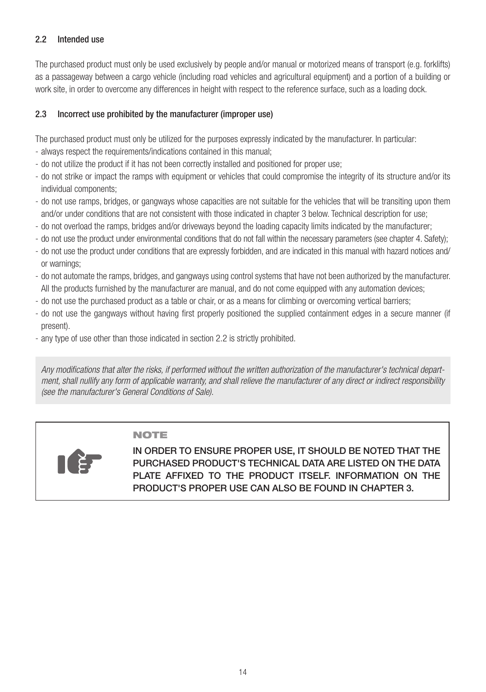### 2.2 Intended use

The purchased product must only be used exclusively by people and/or manual or motorized means of transport (e.g. forklifts) as a passageway between a cargo vehicle (including road vehicles and agricultural equipment) and a portion of a building or work site, in order to overcome any differences in height with respect to the reference surface, such as a loading dock.

### 2.3 Incorrect use prohibited by the manufacturer (improper use)

The purchased product must only be utilized for the purposes expressly indicated by the manufacturer. In particular:

- always respect the requirements/indications contained in this manual;
- do not utilize the product if it has not been correctly installed and positioned for proper use;
- do not strike or impact the ramps with equipment or vehicles that could compromise the integrity of its structure and/or its individual components;
- do not use ramps, bridges, or gangways whose capacities are not suitable for the vehicles that will be transiting upon them and/or under conditions that are not consistent with those indicated in chapter 3 below. Technical description for use;
- do not overload the ramps, bridges and/or driveways beyond the loading capacity limits indicated by the manufacturer;
- do not use the product under environmental conditions that do not fall within the necessary parameters (see chapter 4. Safety);
- do not use the product under conditions that are expressly forbidden, and are indicated in this manual with hazard notices and/ or warnings;
- do not automate the ramps, bridges, and gangways using control systems that have not been authorized by the manufacturer. All the products furnished by the manufacturer are manual, and do not come equipped with any automation devices;
- do not use the purchased product as a table or chair, or as a means for climbing or overcoming vertical barriers;
- do not use the gangways without having first properly positioned the supplied containment edges in a secure manner (if present).
- any type of use other than those indicated in section 2.2 is strictly prohibited.

*Any modifications that alter the risks, if performed without the written authorization of the manufacturer's technical department, shall nullify any form of applicable warranty, and shall relieve the manufacturer of any direct or indirect responsibility (see the manufacturer's General Conditions of Sale).*

### NOTE



IN ORDER TO ENSURE PROPER USE, IT SHOULD BE NOTED THAT THE PURCHASED PRODUCT'S TECHNICAL DATA ARE LISTED ON THE DATA PLATE AFFIXED TO THE PRODUCT ITSELF. INFORMATION ON THE PRODUCT'S PROPER USE CAN ALSO BE FOUND IN CHAPTER 3.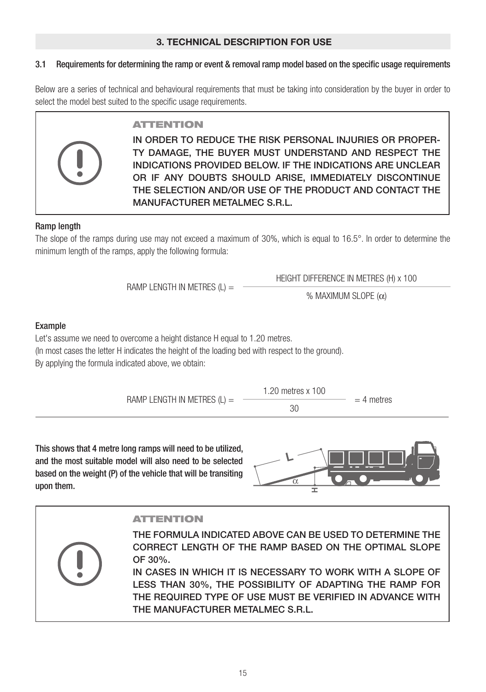### **3. TECHNICAL DESCRIPTION FOR USE**

### 3.1 Requirements for determining the ramp or event & removal ramp model based on the specific usage requirements

Below are a series of technical and behavioural requirements that must be taking into consideration by the buyer in order to select the model best suited to the specific usage requirements.



IN ORDER TO REDUCE THE RISK PERSONAL INJURIES OR PROPER-TY DAMAGE, THE BUYER MUST UNDERSTAND AND RESPECT THE INDICATIONS PROVIDED BELOW. IF THE INDICATIONS ARE UNCLEAR OR IF ANY DOUBTS SHOULD ARISE, IMMEDIATELY DISCONTINUE THE SELECTION AND/OR USE OF THE PRODUCT AND CONTACT THE MANUFACTURER METALMEC S.R.L.

### Ramp length

The slope of the ramps during use may not exceed a maximum of 30%, which is equal to 16.5°. In order to determine the minimum length of the ramps, apply the following formula:

RAMP LENGTH IN METRES  $(L) =$ 

HEIGHT DIFFERENCE IN METRES (H) x 100

% MAXIMUM SLOPE (α)

### Example

Let's assume we need to overcome a height distance H equal to 1.20 metres.

(In most cases the letter H indicates the height of the loading bed with respect to the ground).

By applying the formula indicated above, we obtain:

RAMP LENGTH IN METRES  $(L)$  =



 $= 4$  metres

This shows that 4 metre long ramps will need to be utilized, and the most suitable model will also need to be selected based on the weight (P) of the vehicle that will be transiting upon them.



### ATTENTION

THE FORMULA INDICATED ABOVE CAN BE USED TO DETERMINE THE CORRECT LENGTH OF THE RAMP BASED ON THE OPTIMAL SLOPE OF 30%.

IN CASES IN WHICH IT IS NECESSARY TO WORK WITH A SLOPE OF LESS THAN 30%, THE POSSIBILITY OF ADAPTING THE RAMP FOR THE REQUIRED TYPE OF USE MUST BE VERIFIED IN ADVANCE WITH THE MANUFACTURER METALMEC S.R.L.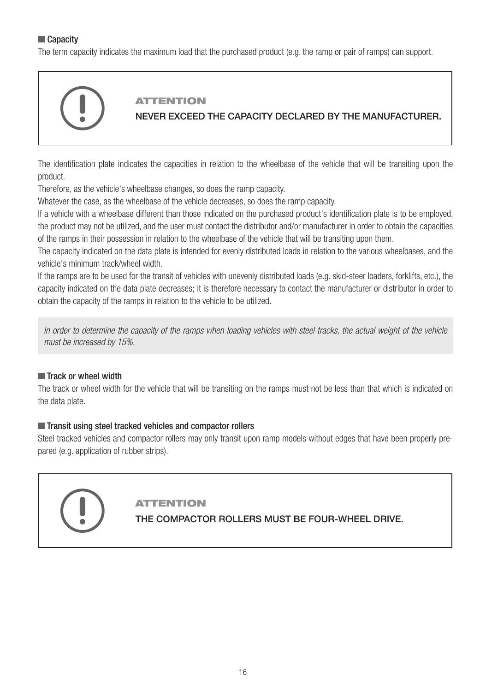### ■ Capacity

The term capacity indicates the maximum load that the purchased product (e.g. the ramp or pair of ramps) can support.



The identification plate indicates the capacities in relation to the wheelbase of the vehicle that will be transiting upon the product.

Therefore, as the vehicle's wheelbase changes, so does the ramp capacity.

Whatever the case, as the wheelbase of the vehicle decreases, so does the ramp capacity.

If a vehicle with a wheelbase different than those indicated on the purchased product's identification plate is to be employed, the product may not be utilized, and the user must contact the distributor and/or manufacturer in order to obtain the capacities of the ramps in their possession in relation to the wheelbase of the vehicle that will be transiting upon them.

The capacity indicated on the data plate is intended for evenly distributed loads in relation to the various wheelbases, and the vehicle's minimum track/wheel width.

If the ramps are to be used for the transit of vehicles with unevenly distributed loads (e.g. skid-steer loaders, forklifts, etc.), the capacity indicated on the data plate decreases; it is therefore necessary to contact the manufacturer or distributor in order to obtain the capacity of the ramps in relation to the vehicle to be utilized.

*In order to determine the capacity of the ramps when loading vehicles with steel tracks, the actual weight of the vehicle must be increased by 15%.*

### ■ Track or wheel width

The track or wheel width for the vehicle that will be transiting on the ramps must not be less than that which is indicated on the data plate.

### ■ Transit using steel tracked vehicles and compactor rollers

Steel tracked vehicles and compactor rollers may only transit upon ramp models without edges that have been properly prepared (e.g. application of rubber strips).

### ATTENTION

THE COMPACTOR ROLLERS MUST BE FOUR-WHEEL DRIVE.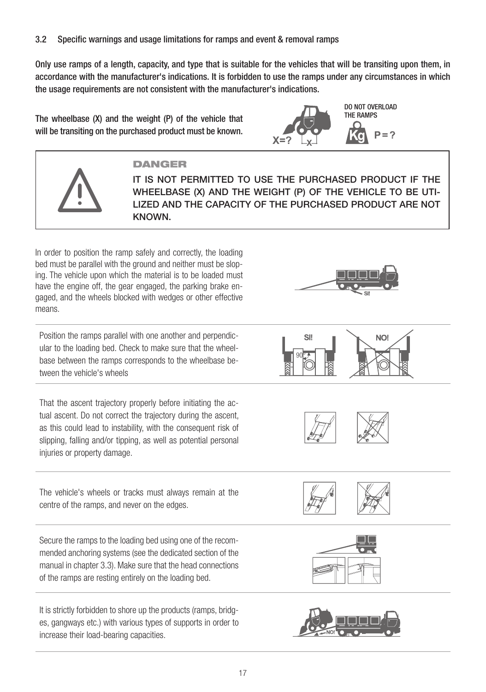Only use ramps of a length, capacity, and type that is suitable for the vehicles that will be transiting upon them, in accordance with the manufacturer's indications. It is forbidden to use the ramps under any circumstances in which the usage requirements are not consistent with the manufacturer's indications.

The wheelbase (X) and the weight (P) of the vehicle that will be transiting on the purchased product must be known.



DO NOT OVERLOAD THE RAMPS $P = ?$ 



In order to position the ramp safely and correctly, the loading bed must be parallel with the ground and neither must be sloping. The vehicle upon which the material is to be loaded must have the engine off, the gear engaged, the parking brake engaged, and the wheels blocked with wedges or other effective means.

Position the ramps parallel with one another and perpendicular to the loading bed. Check to make sure that the wheelbase between the ramps corresponds to the wheelbase between the vehicle's wheels

That the ascent trajectory properly before initiating the actual ascent. Do not correct the trajectory during the ascent, as this could lead to instability, with the consequent risk of slipping, falling and/or tipping, as well as potential personal injuries or property damage.

The vehicle's wheels or tracks must always remain at the centre of the ramps, and never on the edges.

Secure the ramps to the loading bed using one of the recommended anchoring systems (see the dedicated section of the manual in chapter 3.3). Make sure that the head connections of the ramps are resting entirely on the loading bed.

It is strictly forbidden to shore up the products (ramps, bridges, gangways etc.) with various types of supports in order to increase their load-bearing capacities.











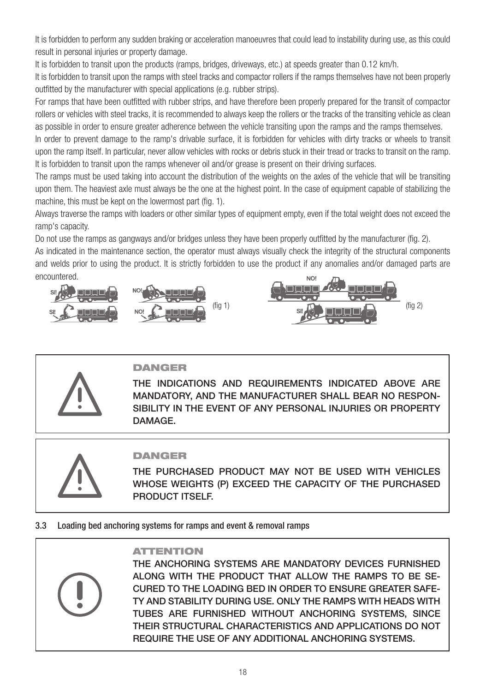It is forbidden to perform any sudden braking or acceleration manoeuvres that could lead to instability during use, as this could result in personal injuries or property damage.

It is forbidden to transit upon the products (ramps, bridges, driveways, etc.) at speeds greater than 0.12 km/h.

It is forbidden to transit upon the ramps with steel tracks and compactor rollers if the ramps themselves have not been properly outfitted by the manufacturer with special applications (e.g. rubber strips).

For ramps that have been outfitted with rubber strips, and have therefore been properly prepared for the transit of compactor rollers or vehicles with steel tracks, it is recommended to always keep the rollers or the tracks of the transiting vehicle as clean as possible in order to ensure greater adherence between the vehicle transiting upon the ramps and the ramps themselves.

In order to prevent damage to the ramp's drivable surface, it is forbidden for vehicles with dirty tracks or wheels to transit upon the ramp itself. In particular, never allow vehicles with rocks or debris stuck in their tread or tracks to transit on the ramp. It is forbidden to transit upon the ramps whenever oil and/or grease is present on their driving surfaces.

The ramps must be used taking into account the distribution of the weights on the axles of the vehicle that will be transiting upon them. The heaviest axle must always be the one at the highest point. In the case of equipment capable of stabilizing the machine, this must be kept on the lowermost part (fig. 1).

Always traverse the ramps with loaders or other similar types of equipment empty, even if the total weight does not exceed the ramp's capacity.

Do not use the ramps as gangways and/or bridges unless they have been properly outfitted by the manufacturer (fig. 2). As indicated in the maintenance section, the operator must always visually check the integrity of the structural components

and welds prior to using the product. It is strictly forbidden to use the product if any anomalies and/or damaged parts are encountered.





### **DANGER**

THE INDICATIONS AND REQUIREMENTS INDICATED ABOVE ARE MANDATORY, AND THE MANUFACTURER SHALL BEAR NO RESPON-SIBILITY IN THE EVENT OF ANY PERSONAL INJURIES OR PROPERTY DAMAGE.



### DANGER

THE PURCHASED PRODUCT MAY NOT BE USED WITH VEHICLES WHOSE WEIGHTS (P) EXCEED THE CAPACITY OF THE PURCHASED PRODUCT ITSELF.

### 3.3 Loading bed anchoring systems for ramps and event & removal ramps

### ATTENTION

THE ANCHORING SYSTEMS ARE MANDATORY DEVICES FURNISHED ALONG WITH THE PRODUCT THAT ALLOW THE RAMPS TO BE SE-CURED TO THE LOADING BED IN ORDER TO ENSURE GREATER SAFE-TY AND STABILITY DURING USE. ONLY THE RAMPS WITH HEADS WITH TUBES ARE FURNISHED WITHOUT ANCHORING SYSTEMS, SINCE THEIR STRUCTURAL CHARACTERISTICS AND APPLICATIONS DO NOT REQUIRE THE USE OF ANY ADDITIONAL ANCHORING SYSTEMS.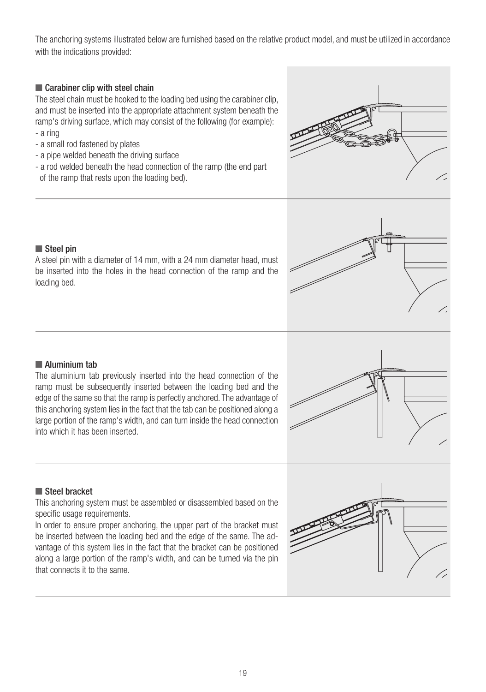The anchoring systems illustrated below are furnished based on the relative product model, and must be utilized in accordance with the indications provided:

### ■ Carabiner clip with steel chain

The steel chain must be hooked to the loading bed using the carabiner clip, and must be inserted into the appropriate attachment system beneath the ramp's driving surface, which may consist of the following (for example):

- a ring
- a small rod fastened by plates
- a pipe welded beneath the driving surface
- a rod welded beneath the head connection of the ramp (the end part of the ramp that rests upon the loading bed).





A steel pin with a diameter of 14 mm, with a 24 mm diameter head, must be inserted into the holes in the head connection of the ramp and the loading bed.



### ■ Aluminium tab

The aluminium tab previously inserted into the head connection of the ramp must be subsequently inserted between the loading bed and the edge of the same so that the ramp is perfectly anchored. The advantage of this anchoring system lies in the fact that the tab can be positioned along a large portion of the ramp's width, and can turn inside the head connection into which it has been inserted.



### ■ Steel bracket

This anchoring system must be assembled or disassembled based on the specific usage requirements.

In order to ensure proper anchoring, the upper part of the bracket must be inserted between the loading bed and the edge of the same. The advantage of this system lies in the fact that the bracket can be positioned along a large portion of the ramp's width, and can be turned via the pin that connects it to the same.

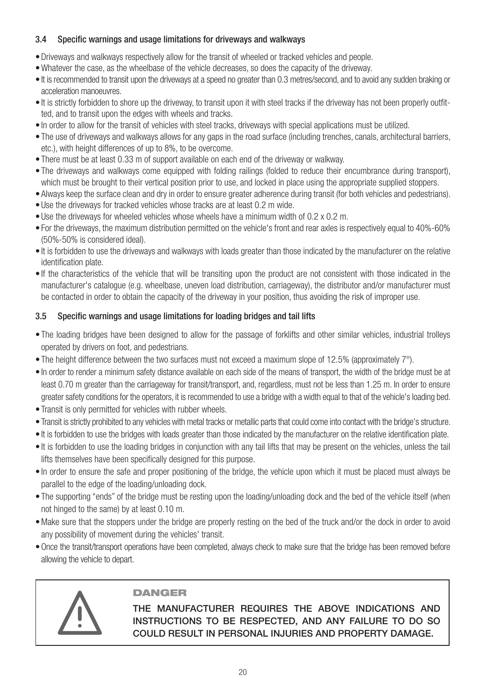### 3.4 Specific warnings and usage limitations for driveways and walkways

- •Driveways and walkways respectively allow for the transit of wheeled or tracked vehicles and people.
- •Whatever the case, as the wheelbase of the vehicle decreases, so does the capacity of the driveway.
- It is recommended to transit upon the driveways at a speed no greater than 0.3 metres/second, and to avoid any sudden braking or acceleration manoeuvres.
- It is strictly forbidden to shore up the driveway, to transit upon it with steel tracks if the driveway has not been properly outfitted, and to transit upon the edges with wheels and tracks.
- In order to allow for the transit of vehicles with steel tracks, driveways with special applications must be utilized.
- The use of driveways and walkways allows for any gaps in the road surface (including trenches, canals, architectural barriers, etc.), with height differences of up to 8%, to be overcome.
- There must be at least 0.33 m of support available on each end of the driveway or walkway.
- The driveways and walkways come equipped with folding railings (folded to reduce their encumbrance during transport), which must be brought to their vertical position prior to use, and locked in place using the appropriate supplied stoppers.
- Always keep the surface clean and dry in order to ensure greater adherence during transit (for both vehicles and pedestrians).
- Use the driveways for tracked vehicles whose tracks are at least 0.2 m wide.
- Use the driveways for wheeled vehicles whose wheels have a minimum width of 0.2 x 0.2 m.
- For the driveways, the maximum distribution permitted on the vehicle's front and rear axles is respectively equal to 40%-60% (50%-50% is considered ideal).
- It is forbidden to use the driveways and walkways with loads greater than those indicated by the manufacturer on the relative identification plate.
- If the characteristics of the vehicle that will be transiting upon the product are not consistent with those indicated in the manufacturer's catalogue (e.g. wheelbase, uneven load distribution, carriageway), the distributor and/or manufacturer must be contacted in order to obtain the capacity of the driveway in your position, thus avoiding the risk of improper use.

### 3.5 Specific warnings and usage limitations for loading bridges and tail lifts

- The loading bridges have been designed to allow for the passage of forklifts and other similar vehicles, industrial trolleys operated by drivers on foot, and pedestrians.
- The height difference between the two surfaces must not exceed a maximum slope of 12.5% (approximately 7°).
- In order to render a minimum safety distance available on each side of the means of transport, the width of the bridge must be at least 0.70 m greater than the carriageway for transit/transport, and, regardless, must not be less than 1.25 m. In order to ensure greater safety conditions for the operators, it is recommended to use a bridge with a width equal to that of the vehicle's loading bed.
- Transit is only permitted for vehicles with rubber wheels.
- Transit is strictly prohibited to any vehicles with metal tracks or metallic parts that could come into contact with the bridge's structure.
- It is forbidden to use the bridges with loads greater than those indicated by the manufacturer on the relative identification plate.
- It is forbidden to use the loading bridges in conjunction with any tail lifts that may be present on the vehicles, unless the tail lifts themselves have been specifically designed for this purpose.
- In order to ensure the safe and proper positioning of the bridge, the vehicle upon which it must be placed must always be parallel to the edge of the loading/unloading dock.
- The supporting "ends" of the bridge must be resting upon the loading/unloading dock and the bed of the vehicle itself (when not hinged to the same) by at least 0.10 m.
- •Make sure that the stoppers under the bridge are properly resting on the bed of the truck and/or the dock in order to avoid any possibility of movement during the vehicles' transit.
- •Once the transit/transport operations have been completed, always check to make sure that the bridge has been removed before allowing the vehicle to depart.



### DANGER

THE MANUFACTURER REQUIRES THE ABOVE INDICATIONS AND INSTRUCTIONS TO BE RESPECTED, AND ANY FAILURE TO DO SO COULD RESULT IN PERSONAL INJURIES AND PROPERTY DAMAGE.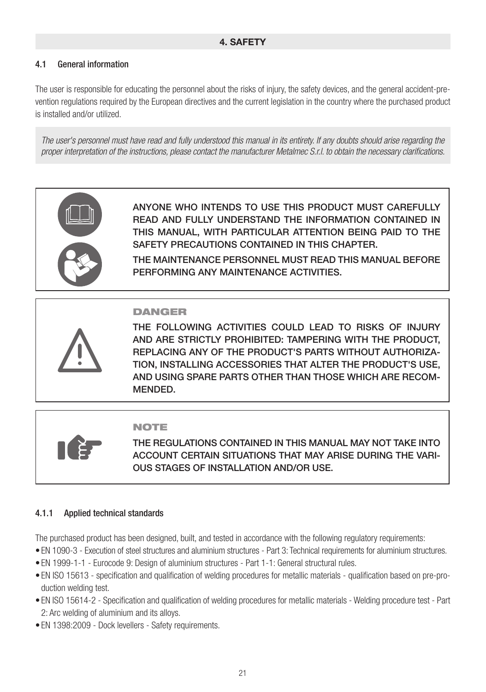### **4. SAFETY**

### 4.1 General information

The user is responsible for educating the personnel about the risks of injury, the safety devices, and the general accident-prevention regulations required by the European directives and the current legislation in the country where the purchased product is installed and/or utilized.

*The user's personnel must have read and fully understood this manual in its entirety. If any doubts should arise regarding the proper interpretation of the instructions, please contact the manufacturer Metalmec S.r.l. to obtain the necessary clarifications.*



ANYONE WHO INTENDS TO USE THIS PRODUCT MUST CAREFULLY READ AND FULLY UNDERSTAND THE INFORMATION CONTAINED IN THIS MANUAL, WITH PARTICULAR ATTENTION BEING PAID TO THE SAFETY PRECAUTIONS CONTAINED IN THIS CHAPTER.

THE MAINTENANCE PERSONNEL MUST READ THIS MANUAL BEFORE PERFORMING ANY MAINTENANCE ACTIVITIES.

### DANGER

THE FOLLOWING ACTIVITIES COULD LEAD TO RISKS OF INJURY AND ARE STRICTLY PROHIBITED: TAMPERING WITH THE PRODUCT, REPLACING ANY OF THE PRODUCT'S PARTS WITHOUT AUTHORIZA-TION, INSTALLING ACCESSORIES THAT ALTER THE PRODUCT'S USE, AND USING SPARE PARTS OTHER THAN THOSE WHICH ARE RECOM-MENDED.

### NOTE

THE REGULATIONS CONTAINED IN THIS MANUAL MAY NOT TAKE INTO ACCOUNT CERTAIN SITUATIONS THAT MAY ARISE DURING THE VARI-OUS STAGES OF INSTALLATION AND/OR USE.

### 4.1.1 Applied technical standards

The purchased product has been designed, built, and tested in accordance with the following regulatory requirements:

- EN 1090-3 Execution of steel structures and aluminium structures Part 3: Technical requirements for aluminium structures.
- EN 1999-1-1 Eurocode 9: Design of aluminium structures Part 1-1: General structural rules.
- EN ISO 15613 specification and qualification of welding procedures for metallic materials qualification based on pre-production welding test.
- EN ISO 15614-2 Specification and qualification of welding procedures for metallic materials Welding procedure test Part 2: Arc welding of aluminium and its alloys.
- EN 1398:2009 Dock levellers Safety requirements.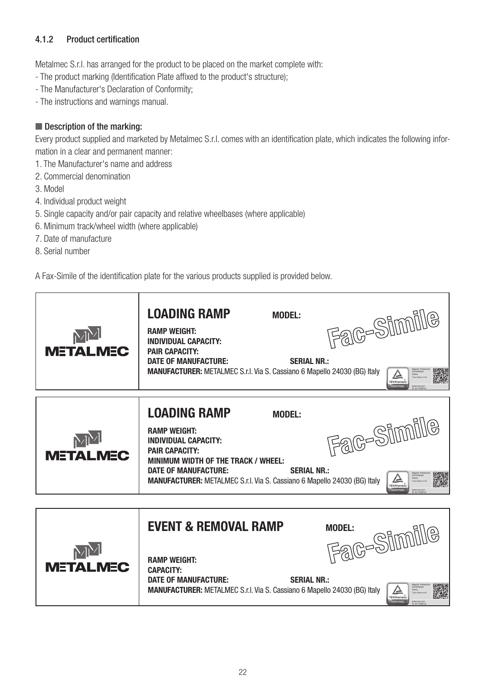### 4.1.2 Product certification

Metalmec S.r.l. has arranged for the product to be placed on the market complete with:

- The product marking (Identification Plate affixed to the product's structure);

- The Manufacturer's Declaration of Conformity;
- The instructions and warnings manual.

### ■ Description of the marking:

Every product supplied and marketed by Metalmec S.r.l. comes with an identification plate, which indicates the following information in a clear and permanent manner:

- 1. The Manufacturer's name and address
- 2. Commercial denomination
- 3. Model
- 4. Individual product weight
- 5. Single capacity and/or pair capacity and relative wheelbases (where applicable)
- 6. Minimum track/wheel width (where applicable)
- 7. Date of manufacture
- 8. Serial number

A Fax-Simile of the identification plate for the various products supplied is provided below.

| MM<br><b>METALMEC</b> | <b>LOADING RAMP</b><br><b>MODEL:</b><br><b>RAMP WEIGHT:</b><br><b>INDIVIDUAL CAPACITY:</b><br><b>PAIR CAPACITY:</b><br>DATE OF MANUFACTURE:<br><b>SERIAL NR.:</b><br><b>MANUFACTURER:</b> METALMEC S.r.l. Via S. Cassiano 6 Mapello 24030 (BG) Italy                                               | Fac-Simile<br>TÜVRheinia<br>CERTIFIED  |
|-----------------------|----------------------------------------------------------------------------------------------------------------------------------------------------------------------------------------------------------------------------------------------------------------------------------------------------|----------------------------------------|
| <b>METALMEC</b>       | <b>LOADING RAMP</b><br><b>MODEL:</b><br><b>RAMP WEIGHT:</b><br><b>INDIVIDUAL CAPACITY:</b><br><b>PAIR CAPACITY:</b><br>MINIMUM WIDTH OF THE TRACK / WHEEL:<br><b>DATE OF MANUFACTURE:</b><br><b>SERIAL NR.:</b><br><b>MANUFACTURER:</b> METALMEC S.r.I. Via S. Cassiano 6 Mapello 24030 (BG) Italy | Fac-Simile<br>TÜVRheinland<br>CERTIFIE |
| <b>METALMEC</b>       | <b>EVENT &amp; REMOVAL RAMP</b><br><b>RAMP WEIGHT:</b><br><b>CAPACITY:</b><br><b>DATE OF MANUFACTURE:</b><br><b>SERIAL NR.:</b><br><b>MANUFACTURER:</b> METALMEC S.r.I. Via S. Cassiano 6 Mapello 24030 (BG) Italy                                                                                 | Fac-Simile<br>亼                        |

TÜVRheinland<br>CERTIFIED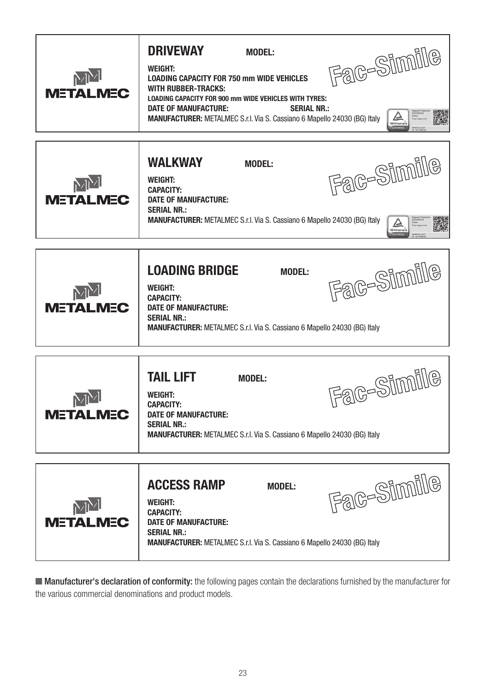| $\mathbb{M}^{\mathcal{N}}$<br><b>METALMEC</b> | <b>DRIVEWAY</b><br><b>MODEL:</b><br><b>WEIGHT:</b><br><b>LOADING CAPACITY FOR 750 mm WIDE VEHICLES</b><br><b>WITH RUBBER-TRACKS:</b><br><b>LOADING CAPACITY FOR 900 mm WIDE VEHICLES WITH TYRES:</b><br>DATE OF MANUFACTURE:<br><b>SERIAL NR.:</b><br>MANUFACTURER: METALMEC S.r.l. Via S. Cassiano 6 Mapello 24030 (BG) Italy | Fac-Simile           |
|-----------------------------------------------|--------------------------------------------------------------------------------------------------------------------------------------------------------------------------------------------------------------------------------------------------------------------------------------------------------------------------------|----------------------|
| <b>METALMEC</b>                               | <b>WALKWAY</b><br><b>MODEL:</b><br><b>WEIGHT:</b><br><b>CAPACITY:</b><br><b>DATE OF MANUFACTURE:</b><br><b>SERIAL NR.:</b><br><b>MANUFACTURER:</b> METALMEC S.r.I. Via S. Cassiano 6 Mapello 24030 (BG) Italy                                                                                                                  | Fac-Simile<br>TÜVRhe |
| <b>METALMEC</b>                               | <b>LOADING BRIDGE</b><br><b>MODEL:</b><br><b>WEIGHT:</b><br><b>CAPACITY:</b><br><b>DATE OF MANUFACTURE:</b><br><b>SERIAL NR.:</b><br><b>MANUFACTURER:</b> METALMEC S.r.I. Via S. Cassiano 6 Mapello 24030 (BG) Italy                                                                                                           | Fac-Simile           |
| <b>METALMEC</b>                               | <b>TAIL LIFT</b><br><b>MODEL:</b><br><b>WEIGHT:</b><br><b>CAPACITY:</b><br><b>DATE OF MANUFACTURE:</b><br><b>SERIAL NR.:</b><br>MANUFACTURER: METALMEC S.r.l. Via S. Cassiano 6 Mapello 24030 (BG) Italy                                                                                                                       | Fac-Simile           |
| <b>METALMEC</b>                               | <b>ACCESS RAMP</b><br><b>MODEL:</b><br><b>WEIGHT:</b><br><b>CAPACITY:</b><br><b>DATE OF MANUFACTURE:</b><br><b>SERIAL NR.:</b><br><b>MANUFACTURER:</b> METALMEC S.r.I. Via S. Cassiano 6 Mapello 24030 (BG) Italy                                                                                                              | Fac-Simile           |

■ Manufacturer's declaration of conformity: the following pages contain the declarations furnished by the manufacturer for the various commercial denominations and product models.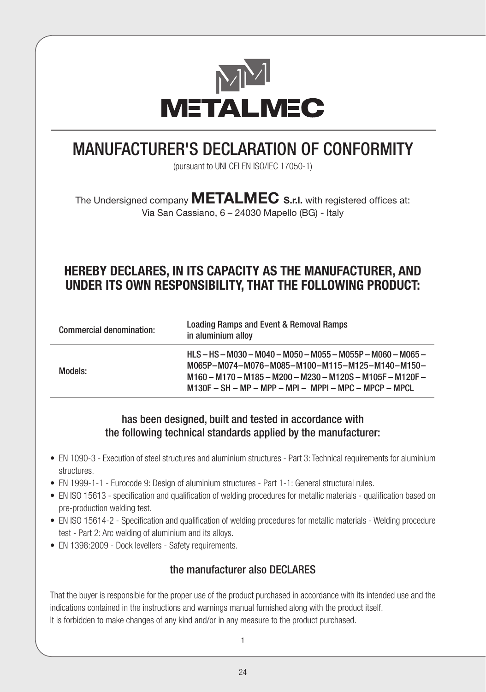

## MANUFACTURER'S DECLARATION OF CONFORMITY

(pursuant to UNI CEI EN ISO/IEC 17050-1)

The Undersigned company **METALMEC S.r.l.** with registered offices at: Via San Cassiano, 6 – 24030 Mapello (BG) - Italy

## **HEREBY DECLARES, IN ITS CAPACITY AS THE MANUFACTURER, AND UNDER ITS OWN RESPONSIBILITY, THAT THE FOLLOWING PRODUCT:**

| Commercial denomination: | Loading Ramps and Event & Removal Ramps<br>in aluminium alloy                                                                                                                                                           |  |
|--------------------------|-------------------------------------------------------------------------------------------------------------------------------------------------------------------------------------------------------------------------|--|
| Models:                  | HLS-HS-M030-M040-M050-M055-M055P-M060-M065-<br>M065P-M074-M076-M085-M100-M115-M125-M140-M150-<br>M160 - M170 - M185 - M200 - M230 - M120S - M105F - M120F -<br>$M130F - SH - MP - MPP - MPI - MPPI - MPC - MPCP - MPCL$ |  |

### has been designed, built and tested in accordance with the following technical standards applied by the manufacturer:

- EN 1090-3 Execution of steel structures and aluminium structures Part 3: Technical requirements for aluminium structures.
- EN 1999-1-1 Eurocode 9: Design of aluminium structures Part 1-1: General structural rules.
- EN ISO 15613 specification and qualification of welding procedures for metallic materials qualification based on pre-production welding test.
- EN ISO 15614-2 Specification and qualification of welding procedures for metallic materials Welding procedure test - Part 2: Arc welding of aluminium and its alloys.
- EN 1398:2009 Dock levellers Safety requirements.

### the manufacturer also DECLARES

That the buyer is responsible for the proper use of the product purchased in accordance with its intended use and the indications contained in the instructions and warnings manual furnished along with the product itself. It is forbidden to make changes of any kind and/or in any measure to the product purchased.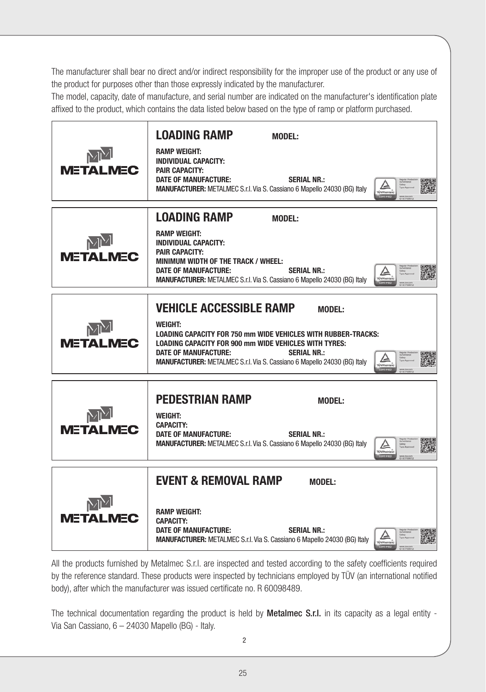The manufacturer shall bear no direct and/or indirect responsibility for the improper use of the product or any use of the product for purposes other than those expressly indicated by the manufacturer.

The model, capacity, date of manufacture, and serial number are indicated on the manufacturer's identification plate affixed to the product, which contains the data listed below based on the type of ramp or platform purchased.

| <b>METALMEC</b> | <b>LOADING RAMP</b><br><b>MODEL:</b><br><b>RAMP WEIGHT:</b><br><b>INDIVIDUAL CAPACITY:</b><br><b>PAIR CAPACITY:</b><br>DATE OF MANUFACTURE:<br><b>SERIAL NR.:</b><br>MANUFACTURER: METALMEC S.r.l. Via S. Cassiano 6 Mapello 24030 (BG) Italy                                           |
|-----------------|-----------------------------------------------------------------------------------------------------------------------------------------------------------------------------------------------------------------------------------------------------------------------------------------|
|                 | <b>LOADING RAMP</b><br><b>MODEL:</b>                                                                                                                                                                                                                                                    |
| <b>METALMEC</b> | <b>RAMP WEIGHT:</b><br><b>INDIVIDUAL CAPACITY:</b><br><b>PAIR CAPACITY:</b><br>MINIMUM WIDTH OF THE TRACK / WHEEL:<br>DATE OF MANUFACTURE:<br><b>SERIAL NR.:</b><br>MANUFACTURER: METALMEC S.r.l. Via S. Cassiano 6 Mapello 24030 (BG) Italy                                            |
|                 | <b>VEHICLE ACCESSIBLE RAMP</b><br><b>MODEL:</b>                                                                                                                                                                                                                                         |
| <b>METALMEC</b> | <b>WEIGHT:</b><br><b>LOADING CAPACITY FOR 750 mm WIDE VEHICLES WITH RUBBER-TRACKS:</b><br><b>LOADING CAPACITY FOR 900 mm WIDE VEHICLES WITH TYRES:</b><br>DATE OF MANUFACTURE:<br><b>SERIAL NR.:</b><br><b>MANUFACTURER:</b> METALMEC S.r.l. Via S. Cassiano 6 Mapello 24030 (BG) Italy |
|                 | <b>PEDESTRIAN RAMP</b><br><b>MODEL:</b>                                                                                                                                                                                                                                                 |
|                 | WEIGHT:<br><b>CAPACITY:</b>                                                                                                                                                                                                                                                             |
| <b>METALMEC</b> | DATE OF MANUFACTURE:<br><b>SERIAL NR.:</b><br>MANUFACTURER: METALMEC S.r.l. Via S. Cassiano 6 Mapello 24030 (BG) Italy                                                                                                                                                                  |
|                 | <b>EVENT &amp; REMOVAL RAMP</b><br><b>MODEL:</b>                                                                                                                                                                                                                                        |
| <b>METALMEC</b> | <b>RAMP WEIGHT:</b><br><b>CAPACITY:</b><br>DATE OF MANUFACTURE:<br><b>SERIAL NR.:</b><br>MANUFACTURER: METALMEC S.r.l. Via S. Cassiano 6 Mapello 24030 (BG) Italy                                                                                                                       |

All the products furnished by Metalmec S.r.l. are inspected and tested according to the safety coefficients required by the reference standard. These products were inspected by technicians employed by TÜV (an international notified body), after which the manufacturer was issued certificate no. R 60098489.

The technical documentation regarding the product is held by **Metalmec S.r.l.** in its capacity as a legal entity -Via San Cassiano, 6 – 24030 Mapello (BG) - Italy.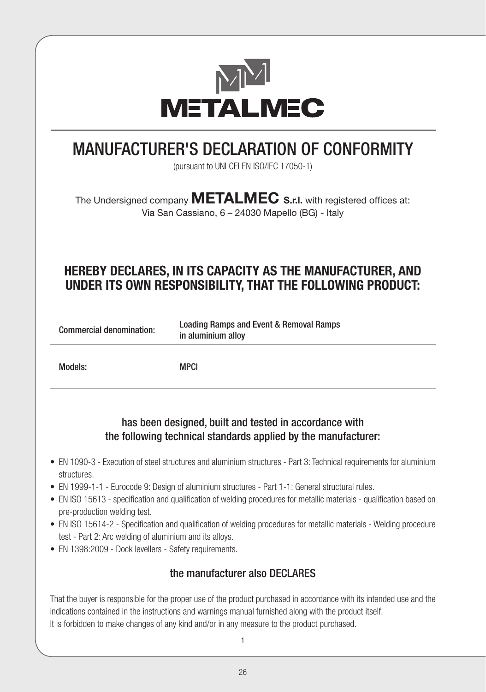

## MANUFACTURER'S DECLARATION OF CONFORMITY

(pursuant to UNI CEI EN ISO/IEC 17050-1)

The Undersigned company **METALMEC S.r.l.** with registered offices at: Via San Cassiano, 6 – 24030 Mapello (BG) - Italy

## **HEREBY DECLARES, IN ITS CAPACITY AS THE MANUFACTURER, AND UNDER ITS OWN RESPONSIBILITY, THAT THE FOLLOWING PRODUCT:**

| Commercial denomination: | Loading Ramps and Event & Removal Ramps |  |
|--------------------------|-----------------------------------------|--|
|                          | in aluminium alloy                      |  |

Models: MPCI

### has been designed, built and tested in accordance with the following technical standards applied by the manufacturer:

- EN 1090-3 Execution of steel structures and aluminium structures Part 3: Technical requirements for aluminium structures.
- EN 1999-1-1 Eurocode 9: Design of aluminium structures Part 1-1: General structural rules.
- EN ISO 15613 specification and qualification of welding procedures for metallic materials qualification based on pre-production welding test.
- EN ISO 15614-2 Specification and qualification of welding procedures for metallic materials Welding procedure test - Part 2: Arc welding of aluminium and its alloys.
- EN 1398:2009 Dock levellers Safety requirements.

### the manufacturer also DECLARES

That the buyer is responsible for the proper use of the product purchased in accordance with its intended use and the indications contained in the instructions and warnings manual furnished along with the product itself. It is forbidden to make changes of any kind and/or in any measure to the product purchased.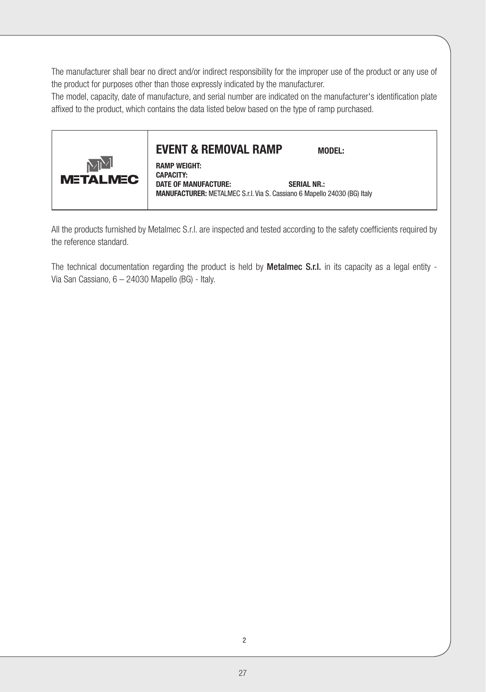The manufacturer shall bear no direct and/or indirect responsibility for the improper use of the product or any use of the product for purposes other than those expressly indicated by the manufacturer.

The model, capacity, date of manufacture, and serial number are indicated on the manufacturer's identification plate affixed to the product, which contains the data listed below based on the type of ramp purchased.



### **EVENT & REMOVAL RAMP MODEL:**

**RAMP WEIGHT: CAPACITY: DATE OF MANUFACTURE: SERIAL NR.: MANUFACTURER:** METALMEC S.r.l. Via S. Cassiano 6 Mapello 24030 (BG) Italy

All the products furnished by Metalmec S.r.l. are inspected and tested according to the safety coefficients required by the reference standard.

The technical documentation regarding the product is held by **Metalmec S.r.l.** in its capacity as a legal entity -Via San Cassiano, 6 – 24030 Mapello (BG) - Italy.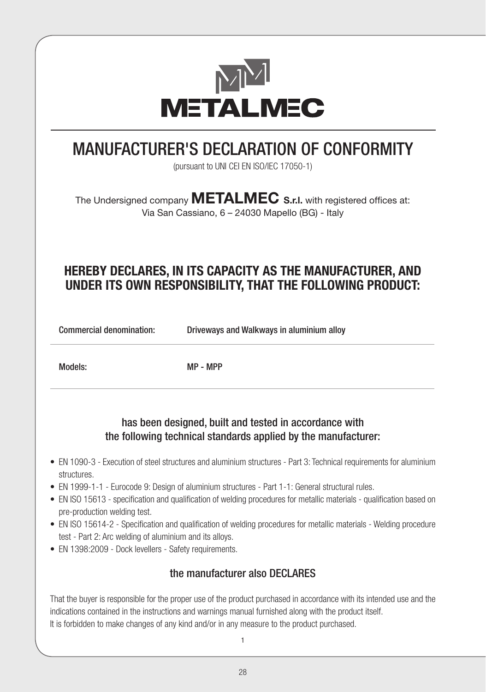

## MANUFACTURER'S DECLARATION OF CONFORMITY

(pursuant to UNI CEI EN ISO/IEC 17050-1)

The Undersigned company **METALMEC S.r.l.** with registered offices at: Via San Cassiano, 6 – 24030 Mapello (BG) - Italy

## **HEREBY DECLARES, IN ITS CAPACITY AS THE MANUFACTURER, AND UNDER ITS OWN RESPONSIBILITY, THAT THE FOLLOWING PRODUCT:**

Commercial denomination: Driveways and Walkways in aluminium alloy

Models: MP - MPP

### has been designed, built and tested in accordance with the following technical standards applied by the manufacturer:

- EN 1090-3 Execution of steel structures and aluminium structures Part 3: Technical requirements for aluminium structures.
- EN 1999-1-1 Eurocode 9: Design of aluminium structures Part 1-1: General structural rules.
- EN ISO 15613 specification and qualification of welding procedures for metallic materials qualification based on pre-production welding test.
- EN ISO 15614-2 Specification and qualification of welding procedures for metallic materials Welding procedure test - Part 2: Arc welding of aluminium and its alloys.
- EN 1398:2009 Dock levellers Safety requirements.

### the manufacturer also DECLARES

That the buyer is responsible for the proper use of the product purchased in accordance with its intended use and the indications contained in the instructions and warnings manual furnished along with the product itself. It is forbidden to make changes of any kind and/or in any measure to the product purchased.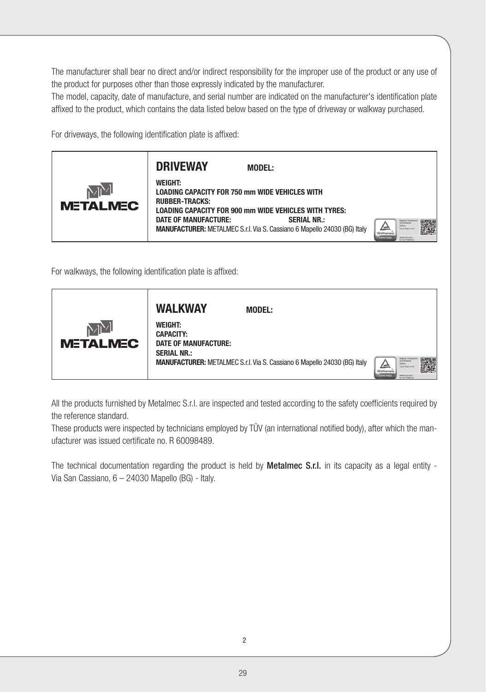The manufacturer shall bear no direct and/or indirect responsibility for the improper use of the product or any use of the product for purposes other than those expressly indicated by the manufacturer.

The model, capacity, date of manufacture, and serial number are indicated on the manufacturer's identification plate affixed to the product, which contains the data listed below based on the type of driveway or walkway purchased.

For driveways, the following identification plate is affixed:



For walkways, the following identification plate is affixed:



All the products furnished by Metalmec S.r.l. are inspected and tested according to the safety coefficients required by the reference standard.

These products were inspected by technicians employed by TÜV (an international notified body), after which the manufacturer was issued certificate no. R 60098489.

The technical documentation regarding the product is held by **Metalmec S.r.l.** in its capacity as a legal entity -Via San Cassiano, 6 – 24030 Mapello (BG) - Italy.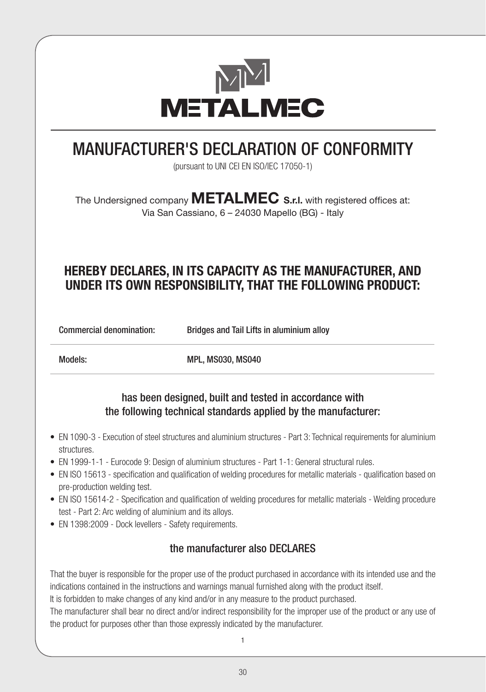

## MANUFACTURER'S DECLARATION OF CONFORMITY

(pursuant to UNI CEI EN ISO/IEC 17050-1)

The Undersigned company **METALMEC S.r.l.** with registered offices at: Via San Cassiano, 6 – 24030 Mapello (BG) - Italy

## **HEREBY DECLARES, IN ITS CAPACITY AS THE MANUFACTURER, AND UNDER ITS OWN RESPONSIBILITY, THAT THE FOLLOWING PRODUCT:**

Commercial denomination: Bridges and Tail Lifts in aluminium alloy

Models: Models: MPL, MS030, MS040

### has been designed, built and tested in accordance with the following technical standards applied by the manufacturer:

- EN 1090-3 Execution of steel structures and aluminium structures Part 3: Technical requirements for aluminium structures.
- EN 1999-1-1 Eurocode 9: Design of aluminium structures Part 1-1: General structural rules.
- EN ISO 15613 specification and qualification of welding procedures for metallic materials qualification based on pre-production welding test.
- EN ISO 15614-2 Specification and qualification of welding procedures for metallic materials Welding procedure test - Part 2: Arc welding of aluminium and its alloys.
- EN 1398:2009 Dock levellers Safety requirements.

### the manufacturer also DECLARES

That the buyer is responsible for the proper use of the product purchased in accordance with its intended use and the indications contained in the instructions and warnings manual furnished along with the product itself.

It is forbidden to make changes of any kind and/or in any measure to the product purchased.

The manufacturer shall bear no direct and/or indirect responsibility for the improper use of the product or any use of the product for purposes other than those expressly indicated by the manufacturer.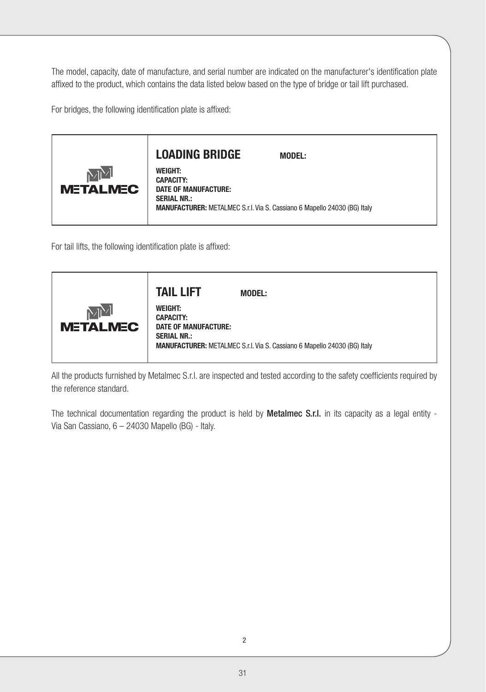The model, capacity, date of manufacture, and serial number are indicated on the manufacturer's identification plate affixed to the product, which contains the data listed below based on the type of bridge or tail lift purchased.

For bridges, the following identification plate is affixed:



For tail lifts, the following identification plate is affixed:

All the products furnished by Metalmec S.r.l. are inspected and tested according to the safety coefficients required by the reference standard.

The technical documentation regarding the product is held by **Metalmec S.r.l.** in its capacity as a legal entity -Via San Cassiano, 6 – 24030 Mapello (BG) - Italy.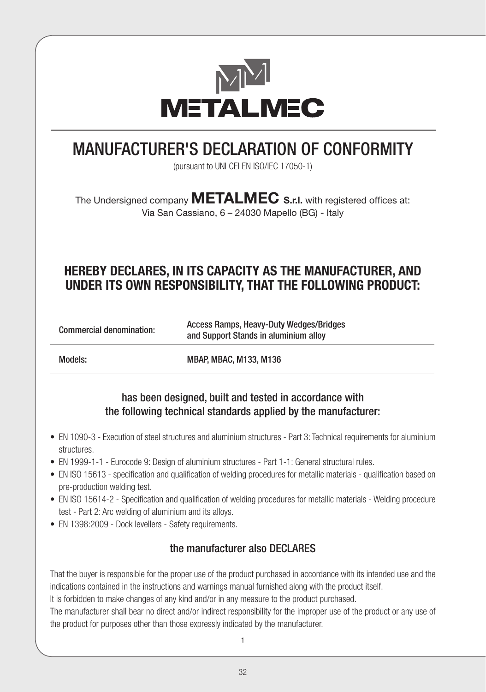

## MANUFACTURER'S DECLARATION OF CONFORMITY

(pursuant to UNI CEI EN ISO/IEC 17050-1)

The Undersigned company **METALMEC S.r.l.** with registered offices at: Via San Cassiano, 6 – 24030 Mapello (BG) - Italy

## **HEREBY DECLARES, IN ITS CAPACITY AS THE MANUFACTURER, AND UNDER ITS OWN RESPONSIBILITY, THAT THE FOLLOWING PRODUCT:**

Commercial denomination: Access Ramps, Heavy-Duty Wedges/Bridges and Support Stands in aluminium alloy

Models: MBAP, MBAC, M133, M136

### has been designed, built and tested in accordance with the following technical standards applied by the manufacturer:

- EN 1090-3 Execution of steel structures and aluminium structures Part 3: Technical requirements for aluminium structures.
- EN 1999-1-1 Eurocode 9: Design of aluminium structures Part 1-1: General structural rules.
- EN ISO 15613 specification and qualification of welding procedures for metallic materials qualification based on pre-production welding test.
- EN ISO 15614-2 Specification and qualification of welding procedures for metallic materials Welding procedure test - Part 2: Arc welding of aluminium and its alloys.
- EN 1398:2009 Dock levellers Safety requirements.

### the manufacturer also DECLARES

That the buyer is responsible for the proper use of the product purchased in accordance with its intended use and the indications contained in the instructions and warnings manual furnished along with the product itself.

It is forbidden to make changes of any kind and/or in any measure to the product purchased.

The manufacturer shall bear no direct and/or indirect responsibility for the improper use of the product or any use of the product for purposes other than those expressly indicated by the manufacturer.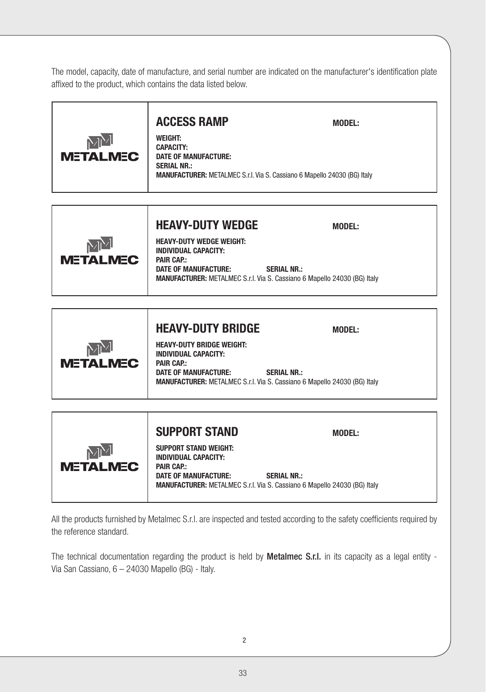The model, capacity, date of manufacture, and serial number are indicated on the manufacturer's identification plate affixed to the product, which contains the data listed below.

| $\mathbb{M}^{\!\vee}$ | <b>ACCESS RAMP</b><br><b>WEIGHT:</b><br><b>CAPACITY:</b>                                                                      | <b>MODEL:</b> |  |
|-----------------------|-------------------------------------------------------------------------------------------------------------------------------|---------------|--|
| <b>METALMEC</b>       | <b>DATE OF MANUFACTURE:</b><br><b>SERIAL NR.:</b><br>MANUFACTURER: METALMEC S.r.l. Via S. Cassiano 6 Mapello 24030 (BG) Italy |               |  |



|                       | <b>HEAVY-DUTY BRIDGE</b>                                                                                                                                                                                              | <b>MODEL:</b> |
|-----------------------|-----------------------------------------------------------------------------------------------------------------------------------------------------------------------------------------------------------------------|---------------|
| MM<br><b>METALMEC</b> | <b>HEAVY-DUTY BRIDGE WEIGHT:</b><br><b>INDIVIDUAL CAPACITY:</b><br><b>PAIR CAP.:</b><br>DATE OF MANUFACTURE:<br><b>SERIAL NR.:</b><br><b>MANUFACTURER:</b> METALMEC S.r.l. Via S. Cassiano 6 Mapello 24030 (BG) Italy |               |

|                       | <b>SUPPORT STAND</b>                                                                                    | <b>MODEL:</b>                                                                                         |
|-----------------------|---------------------------------------------------------------------------------------------------------|-------------------------------------------------------------------------------------------------------|
| MM<br><b>METALMEC</b> | <b>SUPPORT STAND WEIGHT:</b><br><b>INDIVIDUAL CAPACITY:</b><br><b>PAIR CAP:</b><br>DATE OF MANUFACTURE: | <b>SERIAL NR.:</b><br><b>MANUFACTURER:</b> METALMEC S.r.l. Via S. Cassiano 6 Mapello 24030 (BG) Italy |

All the products furnished by Metalmec S.r.l. are inspected and tested according to the safety coefficients required by the reference standard.

The technical documentation regarding the product is held by Metalmec S.r.l. in its capacity as a legal entity -Via San Cassiano, 6 – 24030 Mapello (BG) - Italy.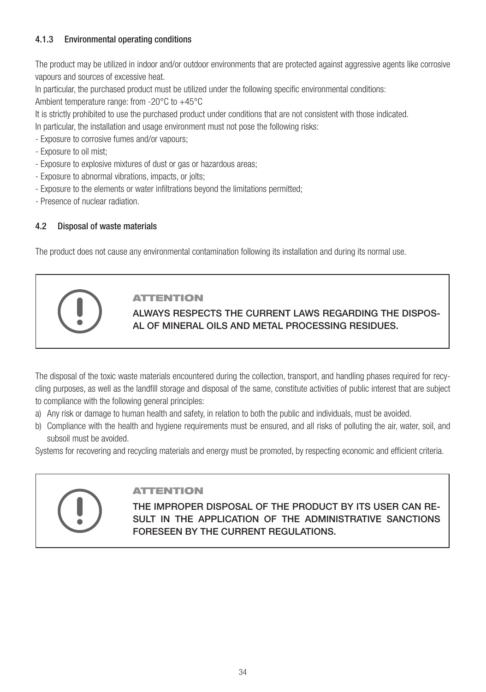### 4.1.3 Environmental operating conditions

The product may be utilized in indoor and/or outdoor environments that are protected against aggressive agents like corrosive vapours and sources of excessive heat.

In particular, the purchased product must be utilized under the following specific environmental conditions:

Ambient temperature range: from -20°C to +45°C

It is strictly prohibited to use the purchased product under conditions that are not consistent with those indicated. In particular, the installation and usage environment must not pose the following risks:

- Exposure to corrosive fumes and/or vapours;

- Exposure to oil mist;
- Exposure to explosive mixtures of dust or gas or hazardous areas;
- Exposure to abnormal vibrations, impacts, or jolts;
- Exposure to the elements or water infiltrations beyond the limitations permitted;
- Presence of nuclear radiation.

### 4.2 Disposal of waste materials

The product does not cause any environmental contamination following its installation and during its normal use.

### ATTENTION

ALWAYS RESPECTS THE CURRENT LAWS REGARDING THE DISPOS-AL OF MINERAL OILS AND METAL PROCESSING RESIDUES.

The disposal of the toxic waste materials encountered during the collection, transport, and handling phases required for recycling purposes, as well as the landfill storage and disposal of the same, constitute activities of public interest that are subject to compliance with the following general principles:

- a) Any risk or damage to human health and safety, in relation to both the public and individuals, must be avoided.
- b) Compliance with the health and hygiene requirements must be ensured, and all risks of polluting the air, water, soil, and subsoil must be avoided.

Systems for recovering and recycling materials and energy must be promoted, by respecting economic and efficient criteria.

### ATTENTION

THE IMPROPER DISPOSAL OF THE PRODUCT BY ITS USER CAN RE-SULT IN THE APPLICATION OF THE ADMINISTRATIVE SANCTIONS FORESEEN BY THE CURRENT REGULATIONS.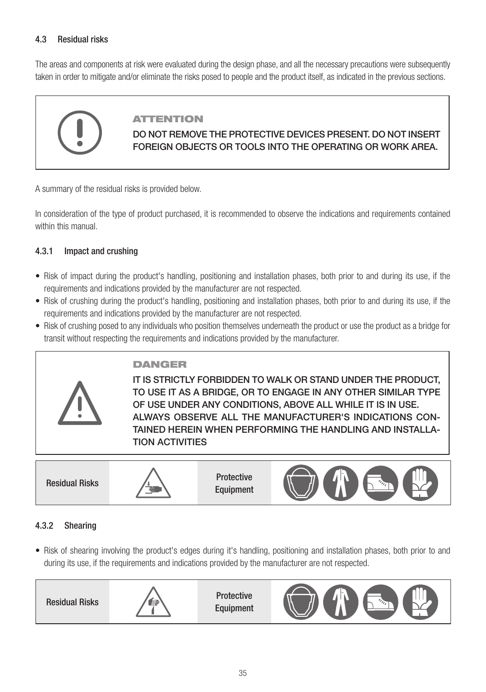### 4.3 Residual risks

The areas and components at risk were evaluated during the design phase, and all the necessary precautions were subsequently taken in order to mitigate and/or eliminate the risks posed to people and the product itself, as indicated in the previous sections.

### ATTENTION

### DO NOT REMOVE THE PROTECTIVE DEVICES PRESENT. DO NOT INSERT FOREIGN OBJECTS OR TOOLS INTO THE OPERATING OR WORK AREA.

A summary of the residual risks is provided below.

In consideration of the type of product purchased, it is recommended to observe the indications and requirements contained within this manual

### 4.3.1 Impact and crushing

- Risk of impact during the product's handling, positioning and installation phases, both prior to and during its use, if the requirements and indications provided by the manufacturer are not respected.
- Risk of crushing during the product's handling, positioning and installation phases, both prior to and during its use, if the requirements and indications provided by the manufacturer are not respected.
- Risk of crushing posed to any individuals who position themselves underneath the product or use the product as a bridge for transit without respecting the requirements and indications provided by the manufacturer.

## DANGER

IT IS STRICTLY FORBIDDEN TO WALK OR STAND UNDER THE PRODUCT, TO USE IT AS A BRIDGE, OR TO ENGAGE IN ANY OTHER SIMILAR TYPE OF USE UNDER ANY CONDITIONS, ABOVE ALL WHILE IT IS IN USE. ALWAYS OBSERVE ALL THE MANUFACTURER'S INDICATIONS CON-TAINED HEREIN WHEN PERFORMING THE HANDLING AND INSTALLA-TION ACTIVITIES



Equipment



### 4.3.2 Shearing

• Risk of shearing involving the product's edges during it's handling, positioning and installation phases, both prior to and during its use, if the requirements and indications provided by the manufacturer are not respected.

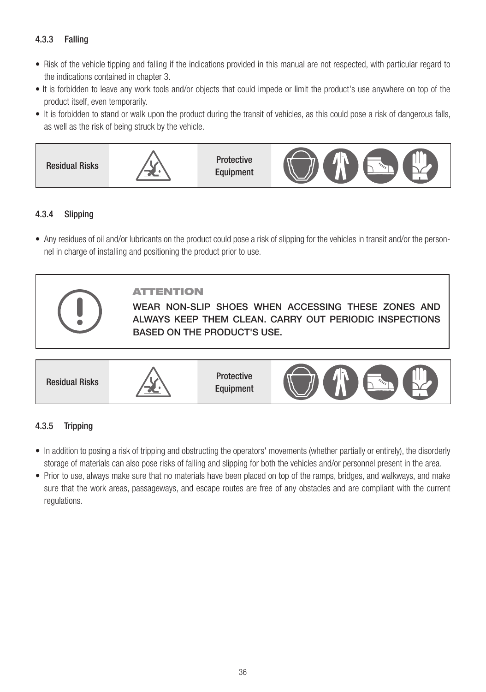### 4.3.3 Falling

- Risk of the vehicle tipping and falling if the indications provided in this manual are not respected, with particular regard to the indications contained in chapter 3.
- It is forbidden to leave any work tools and/or objects that could impede or limit the product's use anywhere on top of the product itself, even temporarily.
- It is forbidden to stand or walk upon the product during the transit of vehicles, as this could pose a risk of dangerous falls, as well as the risk of being struck by the vehicle.



### 4.3.4 Slipping

• Any residues of oil and/or lubricants on the product could pose a risk of slipping for the vehicles in transit and/or the personnel in charge of installing and positioning the product prior to use.



### ATTENTION

WEAR NON-SLIP SHOES WHEN ACCESSING THESE ZONES AND ALWAYS KEEP THEM CLEAN. CARRY OUT PERIODIC INSPECTIONS BASED ON THE PRODUCT'S USE.



### 4.3.5 Tripping

- In addition to posing a risk of tripping and obstructing the operators' movements (whether partially or entirely), the disorderly storage of materials can also pose risks of falling and slipping for both the vehicles and/or personnel present in the area.
- Prior to use, always make sure that no materials have been placed on top of the ramps, bridges, and walkways, and make sure that the work areas, passageways, and escape routes are free of any obstacles and are compliant with the current regulations.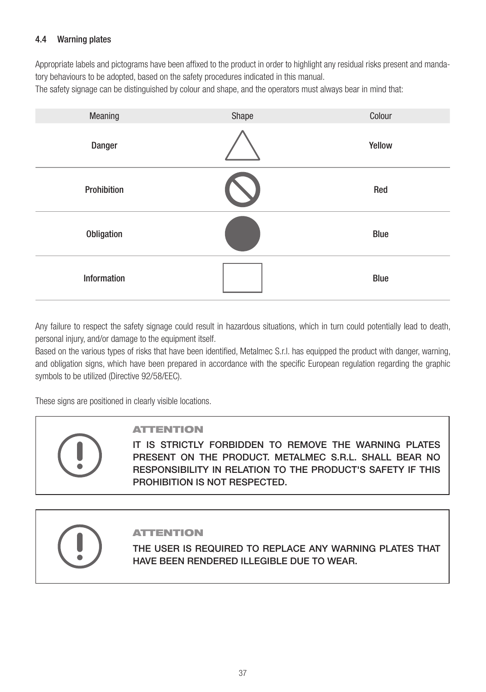### 4.4 Warning plates

Appropriate labels and pictograms have been affixed to the product in order to highlight any residual risks present and mandatory behaviours to be adopted, based on the safety procedures indicated in this manual. The safety signage can be distinguished by colour and shape, and the operators must always bear in mind that:

| Meaning     | Shape | Colour |
|-------------|-------|--------|
| Danger      |       | Yellow |
| Prohibition |       | Red    |
| Obligation  |       | Blue   |
| Information |       | Blue   |

Any failure to respect the safety signage could result in hazardous situations, which in turn could potentially lead to death, personal injury, and/or damage to the equipment itself.

Based on the various types of risks that have been identified, Metalmec S.r.l. has equipped the product with danger, warning, and obligation signs, which have been prepared in accordance with the specific European regulation regarding the graphic symbols to be utilized (Directive 92/58/EEC).

These signs are positioned in clearly visible locations.



### ATTENTION

IT IS STRICTLY FORBIDDEN TO REMOVE THE WARNING PLATES PRESENT ON THE PRODUCT. METALMEC S.R.L. SHALL BEAR NO RESPONSIBILITY IN RELATION TO THE PRODUCT'S SAFETY IF THIS PROHIBITION IS NOT RESPECTED.

### ATTENTION

THE USER IS REQUIRED TO REPLACE ANY WARNING PLATES THAT HAVE BEEN RENDERED ILLEGIBLE DUE TO WEAR.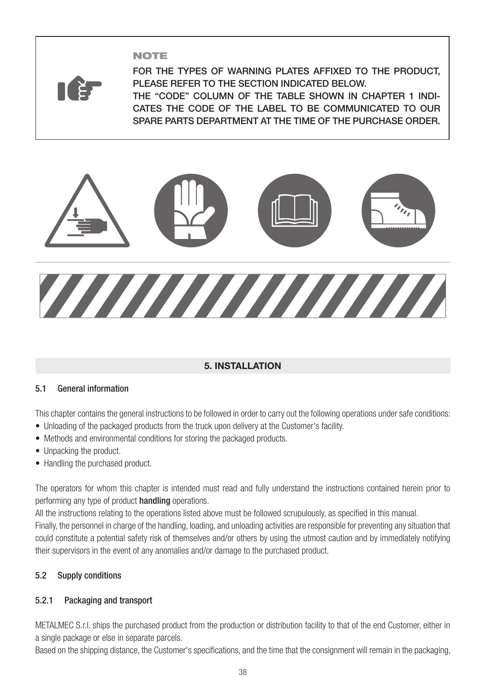### NOTE



FOR THE TYPES OF WARNING PLATES AFFIXED TO THE PRODUCT, PLEASE REFER TO THE SECTION INDICATED BELOW. THE "CODE" COLUMN OF THE TABLE SHOWN IN CHAPTER 1 INDI-CATES THE CODE OF THE LABEL TO BE COMMUNICATED TO OUR SPARE PARTS DEPARTMENT AT THE TIME OF THE PURCHASE ORDER.



### **5. INSTALLATION**

### 5.1 General information

This chapter contains the general instructions to be followed in order to carry out the following operations under safe conditions:

- Unloading of the packaged products from the truck upon delivery at the Customer's facility.
- Methods and environmental conditions for storing the packaged products.
- Unpacking the product.
- Handling the purchased product.

The operators for whom this chapter is intended must read and fully understand the instructions contained herein prior to performing any type of product handling operations.

All the instructions relating to the operations listed above must be followed scrupulously, as specified in this manual. Finally, the personnel in charge of the handling, loading, and unloading activities are responsible for preventing any situation that could constitute a potential safety risk of themselves and/or others by using the utmost caution and by immediately notifying their supervisors in the event of any anomalies and/or damage to the purchased product.

### 5.2 Supply conditions

### 5.2.1 Packaging and transport

METALMEC S.r.l. ships the purchased product from the production or distribution facility to that of the end Customer, either in a single package or else in separate parcels.

Based on the shipping distance, the Customer's specifications, and the time that the consignment will remain in the packaging,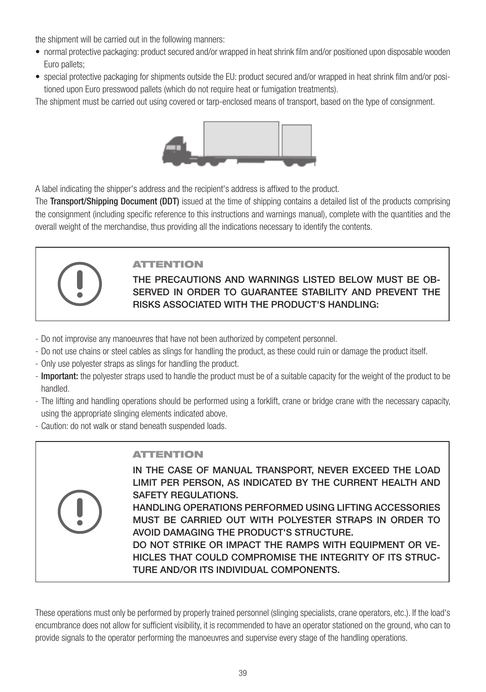the shipment will be carried out in the following manners:

- normal protective packaging: product secured and/or wrapped in heat shrink film and/or positioned upon disposable wooden Euro pallets;
- special protective packaging for shipments outside the EU: product secured and/or wrapped in heat shrink film and/or positioned upon Euro presswood pallets (which do not require heat or fumigation treatments).

The shipment must be carried out using covered or tarp-enclosed means of transport, based on the type of consignment.



A label indicating the shipper's address and the recipient's address is affixed to the product.

The Transport/Shipping Document (DDT) issued at the time of shipping contains a detailed list of the products comprising the consignment (including specific reference to this instructions and warnings manual), complete with the quantities and the overall weight of the merchandise, thus providing all the indications necessary to identify the contents.



### ATTENTION

THE PRECAUTIONS AND WARNINGS LISTED BELOW MUST BE OB-SERVED IN ORDER TO GUARANTEE STABILITY AND PREVENT THE RISKS ASSOCIATED WITH THE PRODUCT'S HANDLING:

- Do not improvise any manoeuvres that have not been authorized by competent personnel.
- Do not use chains or steel cables as slings for handling the product, as these could ruin or damage the product itself.
- Only use polyester straps as slings for handling the product.
- Important: the polyester straps used to handle the product must be of a suitable capacity for the weight of the product to be handled.
- The lifting and handling operations should be performed using a forklift, crane or bridge crane with the necessary capacity, using the appropriate slinging elements indicated above.
- Caution: do not walk or stand beneath suspended loads.

### ATTENTION

IN THE CASE OF MANUAL TRANSPORT, NEVER EXCEED THE LOAD LIMIT PER PERSON, AS INDICATED BY THE CURRENT HEALTH AND SAFETY REGULATIONS.

HANDLING OPERATIONS PERFORMED USING LIFTING ACCESSORIES MUST BE CARRIED OUT WITH POLYESTER STRAPS IN ORDER TO AVOID DAMAGING THE PRODUCT'S STRUCTURE.

DO NOT STRIKE OR IMPACT THE RAMPS WITH EQUIPMENT OR VE-HICLES THAT COULD COMPROMISE THE INTEGRITY OF ITS STRUC-TURE AND/OR ITS INDIVIDUAL COMPONENTS.

These operations must only be performed by properly trained personnel (slinging specialists, crane operators, etc.). If the load's encumbrance does not allow for sufficient visibility, it is recommended to have an operator stationed on the ground, who can to provide signals to the operator performing the manoeuvres and supervise every stage of the handling operations.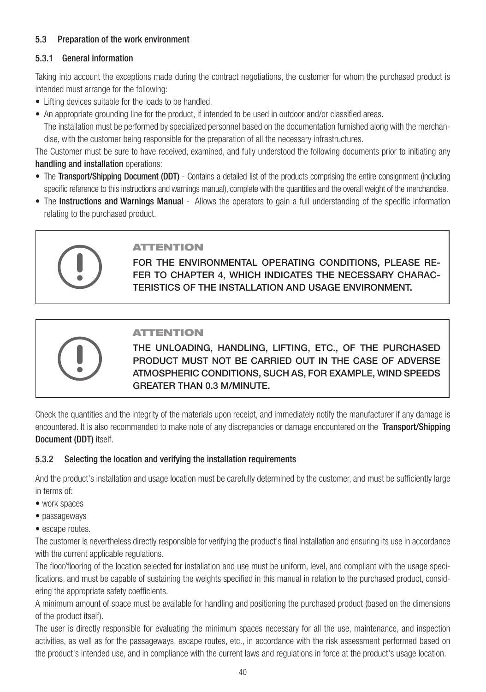### 5.3 Preparation of the work environment

### 5.3.1 General information

Taking into account the exceptions made during the contract negotiations, the customer for whom the purchased product is intended must arrange for the following:

- Lifting devices suitable for the loads to be handled.
- An appropriate grounding line for the product, if intended to be used in outdoor and/or classified areas. The installation must be performed by specialized personnel based on the documentation furnished along with the merchandise, with the customer being responsible for the preparation of all the necessary infrastructures.

The Customer must be sure to have received, examined, and fully understood the following documents prior to initiating any handling and installation operations:

- The Transport/Shipping Document (DDT) Contains a detailed list of the products comprising the entire consignment (including specific reference to this instructions and warnings manual), complete with the quantities and the overall weight of the merchandise.
- The Instructions and Warnings Manual Allows the operators to gain a full understanding of the specific information relating to the purchased product.

|--|

### ATTENTION

FOR THE ENVIRONMENTAL OPERATING CONDITIONS, PLEASE RE-FER TO CHAPTER 4, WHICH INDICATES THE NECESSARY CHARAC-TERISTICS OF THE INSTALLATION AND USAGE ENVIRONMENT.



### ATTENTION

THE UNLOADING, HANDLING, LIFTING, ETC., OF THE PURCHASED PRODUCT MUST NOT BE CARRIED OUT IN THE CASE OF ADVERSE ATMOSPHERIC CONDITIONS, SUCH AS, FOR EXAMPLE, WIND SPEEDS GREATER THAN 0.3 M/MINUTE.

Check the quantities and the integrity of the materials upon receipt, and immediately notify the manufacturer if any damage is encountered. It is also recommended to make note of any discrepancies or damage encountered on the Transport/Shipping Document (DDT) itself.

### 5.3.2 Selecting the location and verifying the installation requirements

And the product's installation and usage location must be carefully determined by the customer, and must be sufficiently large in terms of:

- work spaces
- passageways
- escape routes.

The customer is nevertheless directly responsible for verifying the product's final installation and ensuring its use in accordance with the current applicable requlations.

The floor/flooring of the location selected for installation and use must be uniform, level, and compliant with the usage specifications, and must be capable of sustaining the weights specified in this manual in relation to the purchased product, considering the appropriate safety coefficients.

A minimum amount of space must be available for handling and positioning the purchased product (based on the dimensions of the product itself).

The user is directly responsible for evaluating the minimum spaces necessary for all the use, maintenance, and inspection activities, as well as for the passageways, escape routes, etc., in accordance with the risk assessment performed based on the product's intended use, and in compliance with the current laws and regulations in force at the product's usage location.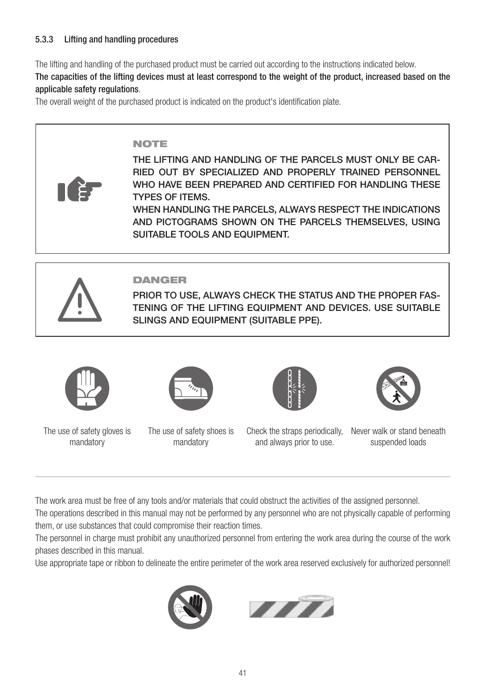### 5.3.3 Lifting and handling procedures

The lifting and handling of the purchased product must be carried out according to the instructions indicated below.

The capacities of the lifting devices must at least correspond to the weight of the product, increased based on the applicable safety regulations.

The overall weight of the purchased product is indicated on the product's identification plate.

### NOTE

THE LIFTING AND HANDLING OF THE PARCELS MUST ONLY BE CAR-RIED OUT BY SPECIALIZED AND PROPERLY TRAINED PERSONNEL WHO HAVE BEEN PREPARED AND CERTIFIED FOR HANDLING THESE TYPES OF ITEMS.

WHEN HANDLING THE PARCELS, ALWAYS RESPECT THE INDICATIONS AND PICTOGRAMS SHOWN ON THE PARCELS THEMSELVES, USING SUITABLE TOOLS AND EQUIPMENT.



### DANGER

PRIOR TO USE, ALWAYS CHECK THE STATUS AND THE PROPER FAS-TENING OF THE LIFTING EQUIPMENT AND DEVICES. USE SUITABLE SLINGS AND EQUIPMENT (SUITABLE PPE).



The use of safety gloves is mandatory



The use of safety shoes is mandatory

and always prior to use.



Check the straps periodically, Never walk or stand beneath suspended loads

The work area must be free of any tools and/or materials that could obstruct the activities of the assigned personnel.

The operations described in this manual may not be performed by any personnel who are not physically capable of performing them, or use substances that could compromise their reaction times.

The personnel in charge must prohibit any unauthorized personnel from entering the work area during the course of the work phases described in this manual.

Use appropriate tape or ribbon to delineate the entire perimeter of the work area reserved exclusively for authorized personnel!



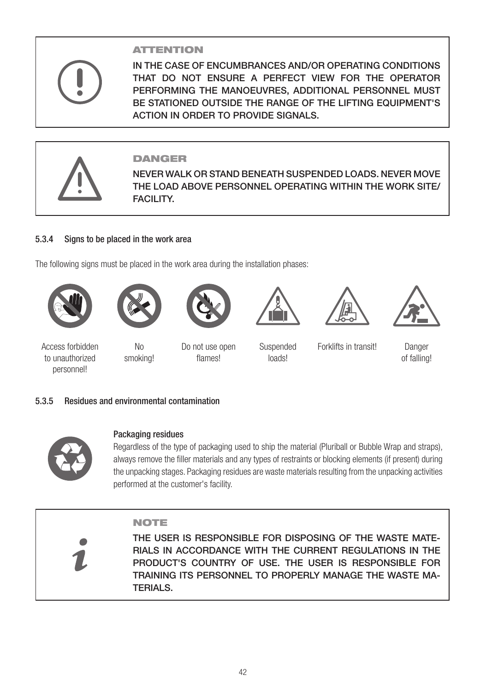# ATTENTION

IN THE CASE OF ENCUMBRANCES AND/OR OPERATING CONDITIONS THAT DO NOT ENSURE A PERFECT VIEW FOR THE OPERATOR PERFORMING THE MANOEUVRES, ADDITIONAL PERSONNEL MUST BE STATIONED OUTSIDE THE RANGE OF THE LIFTING EQUIPMENT'S ACTION IN ORDER TO PROVIDE SIGNALS.



### DANGER

NEVER WALK OR STAND BENEATH SUSPENDED LOADS. NEVER MOVE THE LOAD ABOVE PERSONNEL OPERATING WITHIN THE WORK SITE/ **FACILITY.** 

### 5.3.4 Signs to be placed in the work area

The following signs must be placed in the work area during the installation phases:









loads!





Access forbidden to unauthorized personnel!

No smoking!

Do not use open flames!

Suspended

Forklifts in transit! Danger

of falling!

### 5.3.5 Residues and environmental contamination



### Packaging residues

Regardless of the type of packaging used to ship the material (Pluriball or Bubble Wrap and straps), always remove the filler materials and any types of restraints or blocking elements (if present) during the unpacking stages. Packaging residues are waste materials resulting from the unpacking activities performed at the customer's facility.

### NOTE

THE USER IS RESPONSIBLE FOR DISPOSING OF THE WASTE MATE-RIALS IN ACCORDANCE WITH THE CURRENT REGULATIONS IN THE PRODUCT'S COUNTRY OF USE. THE USER IS RESPONSIBLE FOR TRAINING ITS PERSONNEL TO PROPERLY MANAGE THE WASTE MA-TERIALS.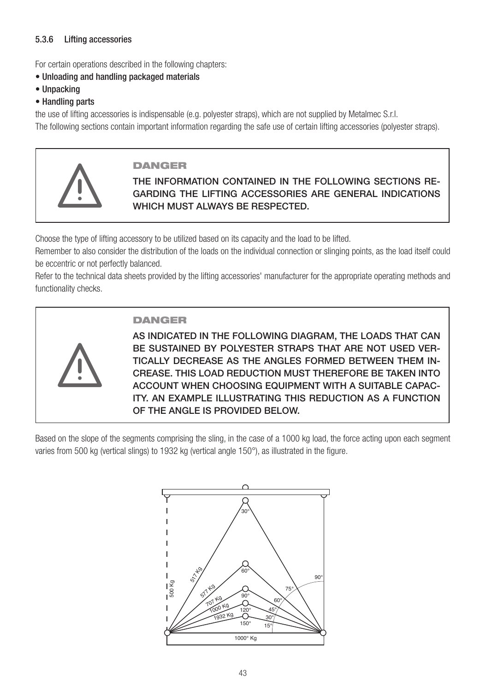### 5.3.6 Lifting accessories

For certain operations described in the following chapters:

- Unloading and handling packaged materials
- Unpacking
- Handling parts

the use of lifting accessories is indispensable (e.g. polyester straps), which are not supplied by Metalmec S.r.l. The following sections contain important information regarding the safe use of certain lifting accessories (polyester straps).



### DANGER

THE INFORMATION CONTAINED IN THE FOLLOWING SECTIONS RE-GARDING THE LIFTING ACCESSORIES ARE GENERAL INDICATIONS WHICH MUST ALWAYS BE RESPECTED.

Choose the type of lifting accessory to be utilized based on its capacity and the load to be lifted.

Remember to also consider the distribution of the loads on the individual connection or slinging points, as the load itself could be eccentric or not perfectly balanced.

Refer to the technical data sheets provided by the lifting accessories' manufacturer for the appropriate operating methods and functionality checks.



### DANGER

AS INDICATED IN THE FOLLOWING DIAGRAM, THE LOADS THAT CAN BE SUSTAINED BY POLYESTER STRAPS THAT ARE NOT USED VER-TICALLY DECREASE AS THE ANGLES FORMED BETWEEN THEM IN-CREASE. THIS LOAD REDUCTION MUST THEREFORE BE TAKEN INTO ACCOUNT WHEN CHOOSING EQUIPMENT WITH A SUITABLE CAPAC-ITY. AN EXAMPLE ILLUSTRATING THIS REDUCTION AS A FUNCTION OF THE ANGLE IS PROVIDED BELOW.

Based on the slope of the segments comprising the sling, in the case of a 1000 kg load, the force acting upon each segment varies from 500 kg (vertical slings) to 1932 kg (vertical angle 150°), as illustrated in the figure.

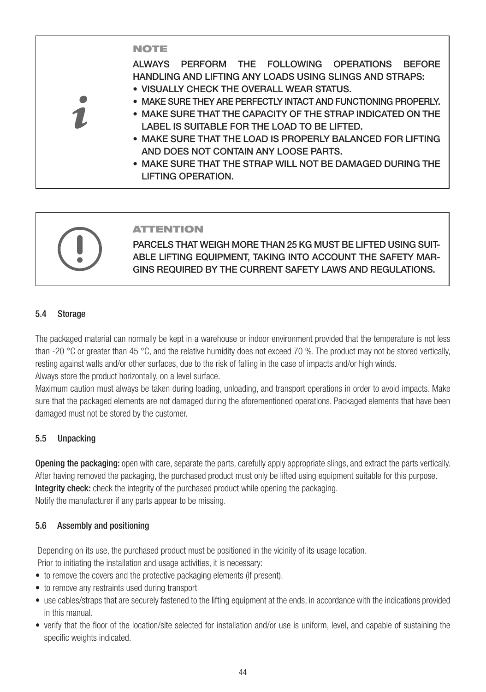### NOTE

ALWAYS PERFORM THE FOLLOWING OPERATIONS BEFORE HANDLING AND LIFTING ANY LOADS USING SLINGS AND STRAPS:

- VISUALLY CHECK THE OVERALL WEAR STATUS.
- MAKE SURE THEY ARE PERFECTLY INTACT AND FUNCTIONING PROPERLY.
- MAKE SURE THAT THE CAPACITY OF THE STRAP INDICATED ON THE LABEL IS SUITABLE FOR THE LOAD TO BE LIFTED.
- MAKE SURE THAT THE LOAD IS PROPERLY BALANCED FOR LIFTING AND DOES NOT CONTAIN ANY LOOSE PARTS.
- MAKE SURE THAT THE STRAP WILL NOT BE DAMAGED DURING THE LIFTING OPERATION.

### ATTENTION

PARCELS THAT WEIGH MORE THAN 25 KG MUST BE LIFTED USING SUIT-ABLE LIFTING EQUIPMENT, TAKING INTO ACCOUNT THE SAFETY MAR-GINS REQUIRED BY THE CURRENT SAFETY LAWS AND REGULATIONS.

### 5.4 Storage

The packaged material can normally be kept in a warehouse or indoor environment provided that the temperature is not less than -20 °C or greater than 45 °C, and the relative humidity does not exceed 70 %. The product may not be stored vertically, resting against walls and/or other surfaces, due to the risk of falling in the case of impacts and/or high winds. Always store the product horizontally, on a level surface.

Maximum caution must always be taken during loading, unloading, and transport operations in order to avoid impacts. Make sure that the packaged elements are not damaged during the aforementioned operations. Packaged elements that have been damaged must not be stored by the customer.

### 5.5 Unpacking

Opening the packaging: open with care, separate the parts, carefully apply appropriate slings, and extract the parts vertically. After having removed the packaging, the purchased product must only be lifted using equipment suitable for this purpose. Integrity check: check the integrity of the purchased product while opening the packaging. Notify the manufacturer if any parts appear to be missing.

### 5.6 Assembly and positioning

Depending on its use, the purchased product must be positioned in the vicinity of its usage location.

Prior to initiating the installation and usage activities, it is necessary:

- to remove the covers and the protective packaging elements (if present).
- to remove any restraints used during transport
- use cables/straps that are securely fastened to the lifting equipment at the ends, in accordance with the indications provided in this manual.
- verify that the floor of the location/site selected for installation and/or use is uniform, level, and capable of sustaining the specific weights indicated.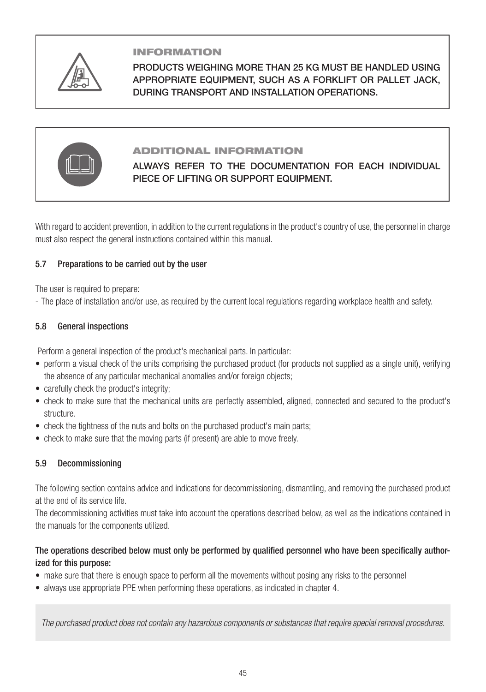

### INFORMATION

PRODUCTS WEIGHING MORE THAN 25 KG MUST BE HANDLED USING APPROPRIATE EQUIPMENT, SUCH AS A FORKLIFT OR PALLET JACK, DURING TRANSPORT AND INSTALLATION OPERATIONS.



### ADDITIONAL INFORMATION

### ALWAYS REFER TO THE DOCUMENTATION FOR EACH INDIVIDUAL PIECE OF LIFTING OR SUPPORT EQUIPMENT.

With regard to accident prevention, in addition to the current regulations in the product's country of use, the personnel in charge must also respect the general instructions contained within this manual.

### 5.7 Preparations to be carried out by the user

The user is required to prepare:

- The place of installation and/or use, as required by the current local regulations regarding workplace health and safety.

### 5.8 General inspections

Perform a general inspection of the product's mechanical parts. In particular:

- perform a visual check of the units comprising the purchased product (for products not supplied as a single unit), verifying the absence of any particular mechanical anomalies and/or foreign objects;
- carefully check the product's integrity;
- check to make sure that the mechanical units are perfectly assembled, aligned, connected and secured to the product's structure.
- check the tightness of the nuts and bolts on the purchased product's main parts;
- check to make sure that the moving parts (if present) are able to move freely.

### 5.9 Decommissioning

The following section contains advice and indications for decommissioning, dismantling, and removing the purchased product at the end of its service life.

The decommissioning activities must take into account the operations described below, as well as the indications contained in the manuals for the components utilized.

### The operations described below must only be performed by qualified personnel who have been specifically authorized for this purpose:

- make sure that there is enough space to perform all the movements without posing any risks to the personnel
- always use appropriate PPE when performing these operations, as indicated in chapter 4.

*The purchased product does not contain any hazardous components or substances that require special removal procedures.*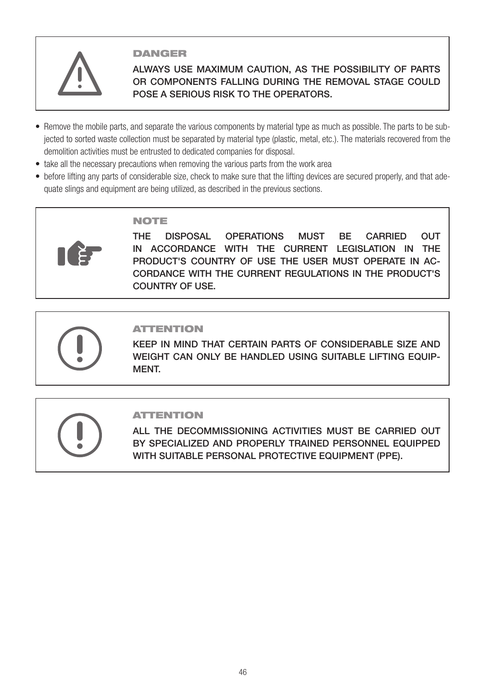

### **DANGER**

### ALWAYS USE MAXIMUM CAUTION, AS THE POSSIBILITY OF PARTS OR COMPONENTS FALLING DURING THE REMOVAL STAGE COULD POSE A SERIOUS RISK TO THE OPERATORS.

- Remove the mobile parts, and separate the various components by material type as much as possible. The parts to be subjected to sorted waste collection must be separated by material type (plastic, metal, etc.). The materials recovered from the demolition activities must be entrusted to dedicated companies for disposal.
- take all the necessary precautions when removing the various parts from the work area
- before lifting any parts of considerable size, check to make sure that the lifting devices are secured properly, and that adequate slings and equipment are being utilized, as described in the previous sections.

### NOTE

THE DISPOSAL OPERATIONS MUST BE CARRIED OUT IN ACCORDANCE WITH THE CURRENT LEGISLATION IN THE PRODUCT'S COUNTRY OF USE THE USER MUST OPERATE IN AC-CORDANCE WITH THE CURRENT REGULATIONS IN THE PRODUCT'S COUNTRY OF USE.

### ATTENTION

KEEP IN MIND THAT CERTAIN PARTS OF CONSIDERABLE SIZE AND WEIGHT CAN ONLY BE HANDLED USING SUITABLE LIFTING EQUIP-MENT.

### ATTENTION

ALL THE DECOMMISSIONING ACTIVITIES MUST BE CARRIED OUT BY SPECIALIZED AND PROPERLY TRAINED PERSONNEL EQUIPPED WITH SUITABLE PERSONAL PROTECTIVE EQUIPMENT (PPE).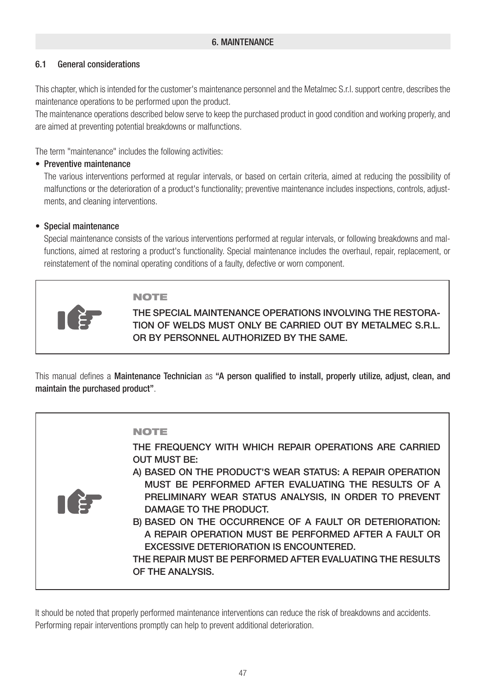### 6. MAINTENANCE

### 6.1 General considerations

This chapter, which is intended for the customer's maintenance personnel and the Metalmec S.r.l. support centre, describes the maintenance operations to be performed upon the product.

The maintenance operations described below serve to keep the purchased product in good condition and working properly, and are aimed at preventing potential breakdowns or malfunctions.

The term "maintenance" includes the following activities:

### • Preventive maintenance

The various interventions performed at regular intervals, or based on certain criteria, aimed at reducing the possibility of malfunctions or the deterioration of a product's functionality; preventive maintenance includes inspections, controls, adjustments, and cleaning interventions.

### • Special maintenance

Special maintenance consists of the various interventions performed at regular intervals, or following breakdowns and malfunctions, aimed at restoring a product's functionality. Special maintenance includes the overhaul, repair, replacement, or reinstatement of the nominal operating conditions of a faulty, defective or worn component.

### NOTE

THE SPECIAL MAINTENANCE OPERATIONS INVOLVING THE RESTORA-TION OF WELDS MUST ONLY BE CARRIED OUT BY METALMEC S.R.L. OR BY PERSONNEL AUTHORIZED BY THE SAME.

This manual defines a Maintenance Technician as "A person qualified to install, properly utilize, adjust, clean, and maintain the purchased product".

| TT E! | <b>NOTE</b><br>THE FREQUENCY WITH WHICH REPAIR OPERATIONS ARE CARRIED<br><b>OUT MUST BE:</b><br>A) BASED ON THE PRODUCT'S WEAR STATUS: A REPAIR OPERATION<br>MUST BE PERFORMED AFTER EVALUATING THE RESULTS OF A<br>PRELIMINARY WEAR STATUS ANALYSIS, IN ORDER TO PREVENT<br>DAMAGE TO THE PRODUCT.<br>B) BASED ON THE OCCURRENCE OF A FAULT OR DETERIORATION:<br>A REPAIR OPERATION MUST BE PERFORMED AFTER A FAULT OR<br><b>EXCESSIVE DETERIORATION IS ENCOUNTERED.</b><br>THE REPAIR MUST BE PERFORMED AFTER EVALUATING THE RESULTS<br>OF THE ANALYSIS. |
|-------|------------------------------------------------------------------------------------------------------------------------------------------------------------------------------------------------------------------------------------------------------------------------------------------------------------------------------------------------------------------------------------------------------------------------------------------------------------------------------------------------------------------------------------------------------------|
|-------|------------------------------------------------------------------------------------------------------------------------------------------------------------------------------------------------------------------------------------------------------------------------------------------------------------------------------------------------------------------------------------------------------------------------------------------------------------------------------------------------------------------------------------------------------------|

It should be noted that properly performed maintenance interventions can reduce the risk of breakdowns and accidents. Performing repair interventions promptly can help to prevent additional deterioration.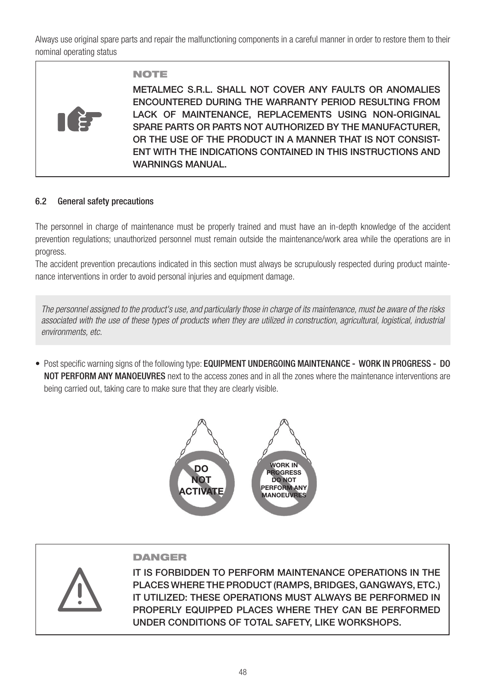Always use original spare parts and repair the malfunctioning components in a careful manner in order to restore them to their nominal operating status



### NOTE

METALMEC S.R.L. SHALL NOT COVER ANY FAULTS OR ANOMALIES ENCOUNTERED DURING THE WARRANTY PERIOD RESULTING FROM LACK OF MAINTENANCE, REPLACEMENTS USING NON-ORIGINAL SPARE PARTS OR PARTS NOT AUTHORIZED BY THE MANUFACTURER, OR THE USE OF THE PRODUCT IN A MANNER THAT IS NOT CONSIST-ENT WITH THE INDICATIONS CONTAINED IN THIS INSTRUCTIONS AND WARNINGS MANUAL.

### 6.2 General safety precautions

The personnel in charge of maintenance must be properly trained and must have an in-depth knowledge of the accident prevention regulations; unauthorized personnel must remain outside the maintenance/work area while the operations are in progress.

The accident prevention precautions indicated in this section must always be scrupulously respected during product maintenance interventions in order to avoid personal injuries and equipment damage.

*The personnel assigned to the product's use, and particularly those in charge of its maintenance, must be aware of the risks associated with the use of these types of products when they are utilized in construction, agricultural, logistical, industrial environments, etc.*

• Post specific warning signs of the following type: EQUIPMENT UNDERGOING MAINTENANCE - WORK IN PROGRESS - DO NOT PERFORM ANY MANOEUVRES next to the access zones and in all the zones where the maintenance interventions are being carried out, taking care to make sure that they are clearly visible.



### DANGER

IT IS FORBIDDEN TO PERFORM MAINTENANCE OPERATIONS IN THE PLACES WHERE THE PRODUCT (RAMPS, BRIDGES, GANGWAYS, ETC.) IT UTILIZED: THESE OPERATIONS MUST ALWAYS BE PERFORMED IN PROPERLY EQUIPPED PLACES WHERE THEY CAN BE PERFORMED UNDER CONDITIONS OF TOTAL SAFETY, LIKE WORKSHOPS.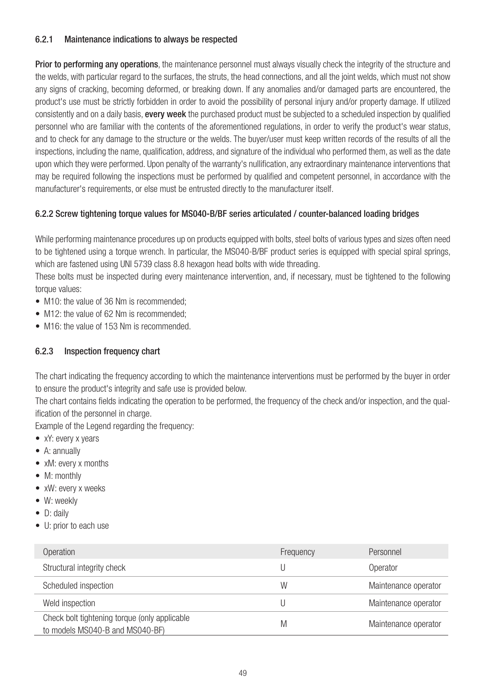### 6.2.1 Maintenance indications to always be respected

Prior to performing any operations, the maintenance personnel must always visually check the integrity of the structure and the welds, with particular regard to the surfaces, the struts, the head connections, and all the joint welds, which must not show any signs of cracking, becoming deformed, or breaking down. If any anomalies and/or damaged parts are encountered, the product's use must be strictly forbidden in order to avoid the possibility of personal injury and/or property damage. If utilized consistently and on a daily basis, **every week** the purchased product must be subjected to a scheduled inspection by qualified personnel who are familiar with the contents of the aforementioned regulations, in order to verify the product's wear status, and to check for any damage to the structure or the welds. The buyer/user must keep written records of the results of all the inspections, including the name, qualification, address, and signature of the individual who performed them, as well as the date upon which they were performed. Upon penalty of the warranty's nullification, any extraordinary maintenance interventions that may be required following the inspections must be performed by qualified and competent personnel, in accordance with the manufacturer's requirements, or else must be entrusted directly to the manufacturer itself.

### 6.2.2 Screw tightening torque values for MS040-B/BF series articulated / counter-balanced loading bridges

While performing maintenance procedures up on products equipped with bolts, steel bolts of various types and sizes often need to be tightened using a torque wrench. In particular, the MS040-B/BF product series is equipped with special spiral springs, which are fastened using UNI 5739 class 8.8 hexagon head bolts with wide threading.

These bolts must be inspected during every maintenance intervention, and, if necessary, must be tightened to the following torque values:

- M10: the value of 36 Nm is recommended:
- M12: the value of 62 Nm is recommended:
- M16: the value of 153 Nm is recommended.

### 6.2.3 Inspection frequency chart

The chart indicating the frequency according to which the maintenance interventions must be performed by the buyer in order to ensure the product's integrity and safe use is provided below.

The chart contains fields indicating the operation to be performed, the frequency of the check and/or inspection, and the qualification of the personnel in charge.

Example of the Legend regarding the frequency:

- xY: every x years
- A: annually
- xM: every x months
- M: monthly
- xW: every x weeks
- W: weekly
- D: daily
- U: prior to each use

| Operation                                                                        | Frequency | Personnel            |
|----------------------------------------------------------------------------------|-----------|----------------------|
| Structural integrity check                                                       |           | Operator             |
| Scheduled inspection                                                             | W         | Maintenance operator |
| Weld inspection                                                                  |           | Maintenance operator |
| Check bolt tightening torque (only applicable<br>to models MS040-B and MS040-BF) | M         | Maintenance operator |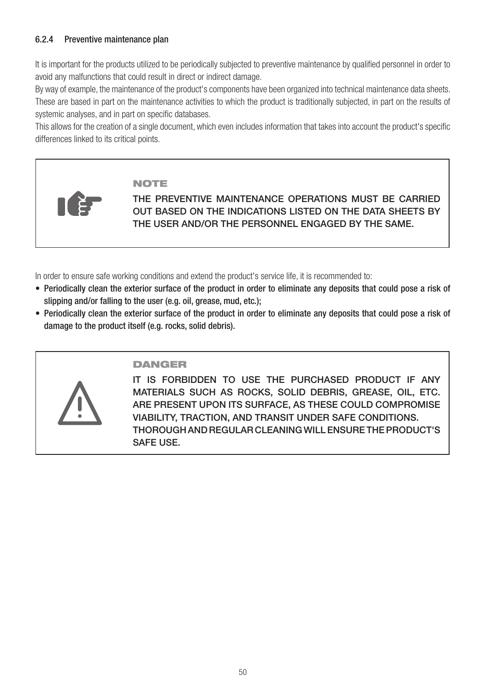### 6.2.4 Preventive maintenance plan

It is important for the products utilized to be periodically subjected to preventive maintenance by qualified personnel in order to avoid any malfunctions that could result in direct or indirect damage.

By way of example, the maintenance of the product's components have been organized into technical maintenance data sheets. These are based in part on the maintenance activities to which the product is traditionally subjected, in part on the results of systemic analyses, and in part on specific databases.

This allows for the creation of a single document, which even includes information that takes into account the product's specific differences linked to its critical points.

### NOTE

THE PREVENTIVE MAINTENANCE OPERATIONS MUST BE CARRIED OUT BASED ON THE INDICATIONS LISTED ON THE DATA SHEETS BY THE USER AND/OR THE PERSONNEL ENGAGED BY THE SAME.

In order to ensure safe working conditions and extend the product's service life, it is recommended to:

- Periodically clean the exterior surface of the product in order to eliminate any deposits that could pose a risk of slipping and/or falling to the user (e.g. oil, grease, mud, etc.);
- Periodically clean the exterior surface of the product in order to eliminate any deposits that could pose a risk of damage to the product itself (e.g. rocks, solid debris).



### DANGER

IT IS FORBIDDEN TO USE THE PURCHASED PRODUCT IF ANY MATERIALS SUCH AS ROCKS, SOLID DEBRIS, GREASE, OIL, ETC. ARE PRESENT UPON ITS SURFACE, AS THESE COULD COMPROMISE VIABILITY, TRACTION, AND TRANSIT UNDER SAFE CONDITIONS. THOROUGH AND REGULAR CLEANING WILL ENSURE THE PRODUCT'S SAFE USE.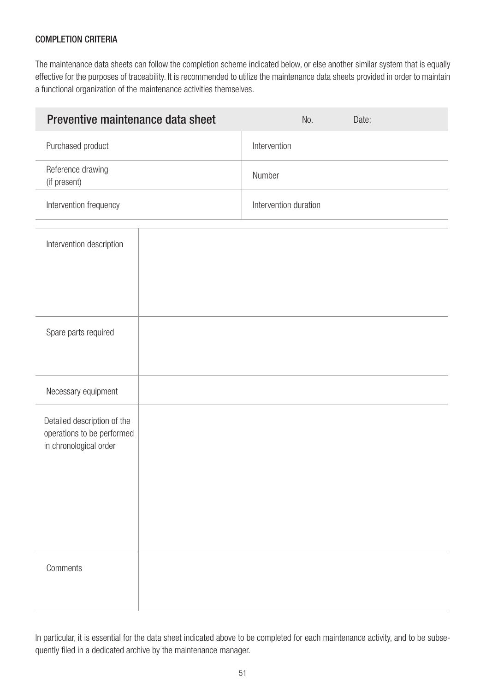### COMPLETION CRITERIA

The maintenance data sheets can follow the completion scheme indicated below, or else another similar system that is equally effective for the purposes of traceability. It is recommended to utilize the maintenance data sheets provided in order to maintain a functional organization of the maintenance activities themselves.

| Preventive maintenance data sheet                                                   |        | No.                   | Date: |  |
|-------------------------------------------------------------------------------------|--------|-----------------------|-------|--|
| Purchased product                                                                   |        | Intervention          |       |  |
| Reference drawing<br>(if present)                                                   | Number |                       |       |  |
| Intervention frequency                                                              |        | Intervention duration |       |  |
| Intervention description                                                            |        |                       |       |  |
| Spare parts required                                                                |        |                       |       |  |
| Necessary equipment                                                                 |        |                       |       |  |
| Detailed description of the<br>operations to be performed<br>in chronological order |        |                       |       |  |
| Comments                                                                            |        |                       |       |  |

In particular, it is essential for the data sheet indicated above to be completed for each maintenance activity, and to be subsequently filed in a dedicated archive by the maintenance manager.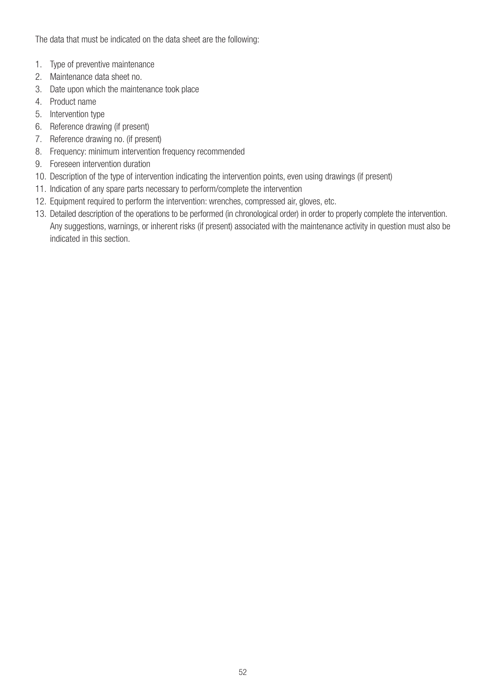The data that must be indicated on the data sheet are the following:

- 1. Type of preventive maintenance
- 2. Maintenance data sheet no.
- 3. Date upon which the maintenance took place
- 4. Product name
- 5. Intervention type
- 6. Reference drawing (if present)
- 7. Reference drawing no. (if present)
- 8. Frequency: minimum intervention frequency recommended
- 9. Foreseen intervention duration
- 10. Description of the type of intervention indicating the intervention points, even using drawings (if present)
- 11. Indication of any spare parts necessary to perform/complete the intervention
- 12. Equipment required to perform the intervention: wrenches, compressed air, gloves, etc.
- 13. Detailed description of the operations to be performed (in chronological order) in order to properly complete the intervention. Any suggestions, warnings, or inherent risks (if present) associated with the maintenance activity in question must also be indicated in this section.